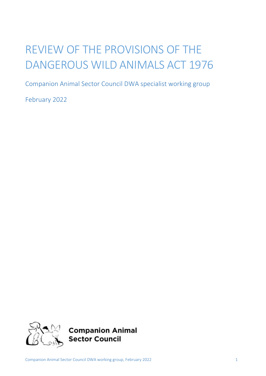# REVIEW OF THE PROVISIONS OF THE DANGEROUS WILD ANIMALS ACT 1976

Companion Animal Sector Council DWA specialist working group

February 2022

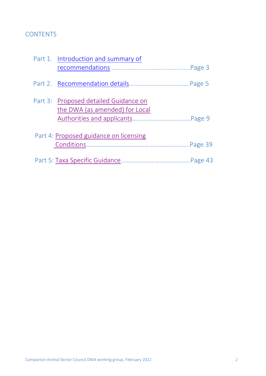# **CONTENTS**

| Part 1. Introduction and summary of                                     |  |
|-------------------------------------------------------------------------|--|
|                                                                         |  |
|                                                                         |  |
| Part 3: Proposed detailed Guidance on<br>the DWA (as amended) for Local |  |
| Part 4: Proposed guidance on licensing                                  |  |
|                                                                         |  |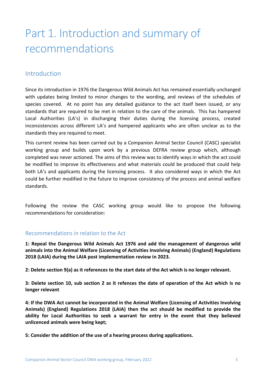# Part 1. Introduction and summary of recommendations

# <span id="page-2-0"></span>Introduction

Since its introduction in 1976 the Dangerous Wild Animals Act has remained essentially unchanged with updates being limited to minor changes to the wording, and reviews of the schedules of species covered. At no point has any detailed guidance to the act itself been issued, or any standards that are required to be met in relation to the care of the animals. This has hampered Local Authorities (LA's) in discharging their duties during the licensing process, created inconsistencies across different LA's and hampered applicants who are often unclear as to the standards they are required to meet.

This current review has been carried out by a Companion Animal Sector Council (CASC) specialist working group and builds upon work by a previous DEFRA review group which, although completed was never actioned. The aims of this review was to identify ways in which the act could be modified to improve its effectiveness and what materials could be produced that could help both LA's and applicants during the licensing process. It also considered ways in which the Act could be further modified in the future to improve consistency of the process and animal welfare standards.

Following the review the CASC working group would like to propose the following recommendations for consideration:

### Recommendations in relation to the Act

**1: Repeal the Dangerous Wild Animals Act 1976 and add the management of dangerous wild animals into the Animal Welfare (Licensing of Activities Involving Animals) (England) Regulations 2018 (LAIA) during the LAIA post implementation review in 2023.**

**2: Delete section 9(a) as it references to the start date of the Act which is no longer relevant.**

**3: Delete section 10, sub section 2 as it refences the date of operation of the Act which is no longer relevant**

**4: If the DWA Act cannot be incorporated in the Animal Welfare (Licensing of Activities Involving Animals) (England) Regulations 2018 (LAIA) then the act should be modified to provide the ability for Local Authorities to seek a warrant for entry in the event that they believed unlicenced animals were being kept;**

**5: Consider the addition of the use of a hearing process during applications.**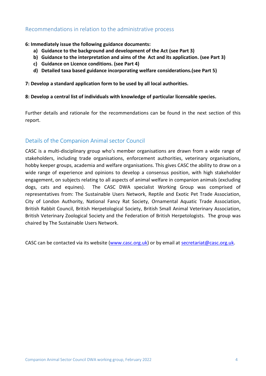# Recommendations in relation to the administrative process

#### **6: Immediately issue the following guidance documents:**

- **a) Guidance to the background and development of the Act (see Part 3)**
- **b) Guidance to the interpretation and aims of the Act and its application. (see Part 3)**
- **c) Guidance on Licence conditions. (see Part 4)**
- **d) Detailed taxa based guidance incorporating welfare considerations.(see Part 5)**

**7: Develop a standard application form to be used by all local authorities.** 

**8: Develop a central list of individuals with knowledge of particular licensable species.**

Further details and rationale for the recommendations can be found in the next section of this report.

# Details of the Companion Animal sector Council

CASC is a multi-disciplinary group who's member organisations are drawn from a wide range of stakeholders, including trade organisations, enforcement authorities, veterinary organisations, hobby keeper groups, academia and welfare organisations. This gives CASC the ability to draw on a wide range of experience and opinions to develop a consensus position, with high stakeholder engagement, on subjects relating to all aspects of animal welfare in companion animals (excluding dogs, cats and equines). The CASC DWA specialist Working Group was comprised of representatives from: The Sustainable Users Network, Reptile and Exotic Pet Trade Association, City of London Authority, National Fancy Rat Society, Ornamental Aquatic Trade Association, British Rabbit Council, British Herpetological Society, British Small Animal Veterinary Association, British Veterinary Zoological Society and the Federation of British Herpetologists. The group was chaired by The Sustainable Users Network.

CASC can be contacted via its website [\(www.casc.org.uk\)](http://www.casc.org.uk/) or by email at [secretariat@casc.org.uk.](mailto:secretariat@casc.org.uk)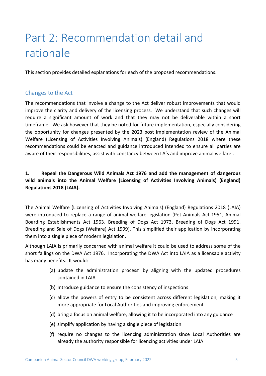# <span id="page-4-0"></span>Part 2: Recommendation detail and rationale

This section provides detailed explanations for each of the proposed recommendations.

## Changes to the Act

The recommendations that involve a change to the Act deliver robust improvements that would improve the clarity and delivery of the licensing process. We understand that such changes will require a significant amount of work and that they may not be deliverable within a short timeframe. We ask however that they be noted for future implementation, especially considering the opportunity for changes presented by the 2023 post implementation review of the Animal Welfare (Licensing of Activities Involving Animals) (England) Regulations 2018 where these recommendations could be enacted and guidance introduced intended to ensure all parties are aware of their responsibilities, assist with constancy between LA's and improve animal welfare..

# **1. Repeal the Dangerous Wild Animals Act 1976 and add the management of dangerous wild animals into the Animal Welfare (Licensing of Activities Involving Animals) (England) Regulations 2018 (LAIA).**

The Animal Welfare (Licensing of Activities Involving Animals) (England) Regulations 2018 (LAIA) were introduced to replace a range of animal welfare legislation (Pet Animals Act 1951, Animal Boarding Establishments Act 1963, Breeding of Dogs Act 1973, Breeding of Dogs Act 1991, Breeding and Sale of Dogs (Welfare) Act 1999). This simplified their application by incorporating them into a single piece of modern legislation.

Although LAIA is primarily concerned with animal welfare it could be used to address some of the short fallings on the DWA Act 1976. Incorporating the DWA Act into LAIA as a licensable activity has many benefits. It would:

- (a) update the administration process' by aligning with the updated procedures contained in LAIA
- (b) Introduce guidance to ensure the consistency of inspections
- (c) allow the powers of entry to be consistent across different legislation, making it more appropriate for Local Authorities and improving enforcement
- (d) bring a focus on animal welfare, allowing it to be incorporated into any guidance
- (e) simplify application by having a single piece of legislation
- (f) require no changes to the licencing administration since Local Authorities are already the authority responsible for licencing activities under LAIA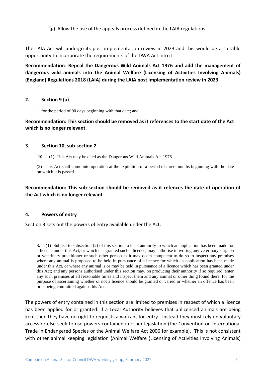(g) Allow the use of the appeals process defined in the LAIA regulations

The LAIA Act will undergo its post implementation review in 2023 and this would be a suitable opportunity to incorporate the requirements of the DWA Act into it.

**Recommendation**: **Repeal the Dangerous Wild Animals Act 1976 and add the management of dangerous wild animals into the Animal Welfare (Licensing of Activities Involving Animals) (England) Regulations 2018 (LAIA) during the LAIA post implementation review in 2023.**

#### **2. Section 9 (a)**

1.for the period of 90 days beginning with that date; and

#### **Recommendation: This section should be removed as it references to the start date of the Act which is no longer relevant**.

#### **3. Section 10, sub-section 2**

**10.**— (1) This Act may be cited as the Dangerous Wild Animals Act 1976.

(2) This Act shall come into operation at the expiration of a period of three months beginning with the date on which it is passed.

## **Recommendation: This sub-section should be removed as it refences the date of operation of the Act which is no longer relevant**

#### **4. Powers of entry**

Section 3 sets out the powers of entry available under the Act:

**3.**— (1) Subject to subsection (2) of this section, a local authority to which an application has been made for a licence under this Act, or which has granted such a licence, may authorise in writing any veterinary surgeon or veterinary practitioner or such other person as it may deem competent to do so to inspect any premises where any animal is proposed to be held in pursuance of a licence for which an application has been made under this Act, or where any animal is or may be held in pursuance of a licence which has been granted under this Act; and any persons authorised under this section may, on producing their authority if so required, enter any such premises at all reasonable times and inspect them and any animal or other thing found there, for the purpose of ascertaining whether or not a licence should be granted or varied or whether an offence has been or is being committed against this Act.

The powers of entry contained in this section are limited to premises in respect of which a licence has been applied for or granted. If a Local Authority believes that unlicenced animals are being kept then they have no right to requests a warrant for entry. Instead they must rely on voluntary access or else seek to use powers contained in other legislation (the Convention on International Trade in Endangered Species or the Animal Welfare Act 2006 for example). This is not consistent with other animal keeping legislation (Animal Welfare (Licensing of Activities Involving Animals)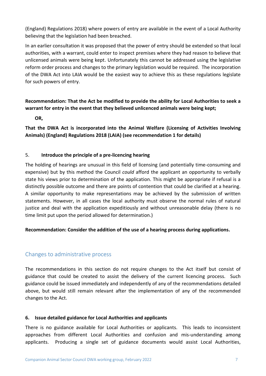(England) Regulations 2018) where powers of entry are available in the event of a Local Authority believing that the legislation had been breached.

In an earlier consultation it was proposed that the power of entry should be extended so that local authorities, with a warrant, could enter to inspect premises where they had reason to believe that unlicensed animals were being kept. Unfortunately this cannot be addressed using the legislative reform order process and changes to the primary legislation would be required. The incorporation of the DWA Act into LAIA would be the easiest way to achieve this as these regulations legislate for such powers of entry.

# **Recommendation: That the Act be modified to provide the ability for Local Authorities to seek a warrant for entry in the event that they believed unlicenced animals were being kept;**

**OR,**

## **That the DWA Act is incorporated into the Animal Welfare (Licensing of Activities Involving Animals) (England) Regulations 2018 (LAIA) (see recommendation 1 for details)**

## 5. **Introduce the principle of a pre-licencing hearing**

The holding of hearings are unusual in this field of licensing (and potentially time-consuming and expensive) but by this method the Council *could* afford the applicant an opportunity to verbally state his views prior to determination of the application. This might be appropriate if refusal is a distinctly possible outcome and there are points of contention that could be clarified at a hearing. A similar opportunity to make representations may be achieved by the submission of written statements. However, in all cases the local authority must observe the normal rules of natural justice and deal with the application expeditiously and without unreasonable delay (there is no time limit put upon the period allowed for determination.)

### **Recommendation: Consider the addition of the use of a hearing process during applications.**

## Changes to administrative process

The recommendations in this section do not require changes to the Act itself but consist of guidance that could be created to assist the delivery of the current licencing process. Such guidance could be issued immediately and independently of any of the recommendations detailed above, but would still remain relevant after the implementation of any of the recommended changes to the Act.

### **6. Issue detailed guidance for Local Authorities and applicants**

There is no guidance available for Local Authorities or applicants. This leads to inconsistent approaches from different Local Authorities and confusion and mis-understanding among applicants. Producing a single set of guidance documents would assist Local Authorities,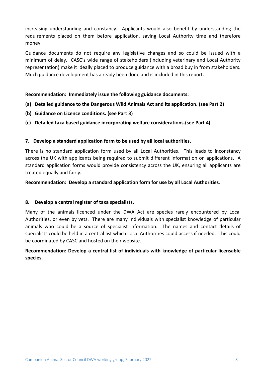increasing understanding and constancy. Applicants would also benefit by understanding the requirements placed on them before application, saving Local Authority time and therefore money.

Guidance documents do not require any legislative changes and so could be issued with a minimum of delay. CASC's wide range of stakeholders (including veterinary and Local Authority representation) make it ideally placed to produce guidance with a broad buy in from stakeholders. Much guidance development has already been done and is included in this report.

#### **Recommendation: Immediately issue the following guidance documents:**

- **(a) Detailed guidance to the Dangerous Wild Animals Act and its application. (see Part 2)**
- **(b) Guidance on Licence conditions. (see Part 3)**
- **(c) Detailed taxa based guidance incorporating welfare considerations.(see Part 4)**

#### **7. Develop a standard application form to be used by all local authorities.**

There is no standard application form used by all Local Authorities. This leads to inconstancy across the UK with applicants being required to submit different information on applications. A standard application forms would provide consistency across the UK, ensuring all applicants are treated equally and fairly.

#### **Recommendation: Develop a standard application form for use by all Local Authorities**.

#### **8. Develop a central register of taxa specialists.**

Many of the animals licenced under the DWA Act are species rarely encountered by Local Authorities, or even by vets. There are many individuals with specialist knowledge of particular animals who could be a source of specialist information. The names and contact details of specialists could be held in a central list which Local Authorities could access if needed. This could be coordinated by CASC and hosted on their website.

## **Recommendation: Develop a central list of individuals with knowledge of particular licensable species.**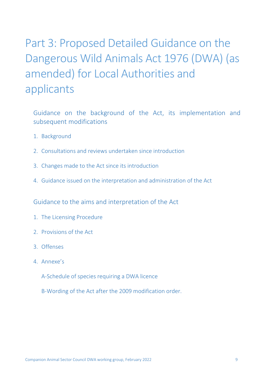# Part 3: Proposed Detailed Guidance on the Dangerous Wild Animals Act 1976 (DWA) (as amended) for Local Authorities and applicants

<span id="page-8-0"></span>Guidance on the background of the Act, its implementation and subsequent modifications

- 1. Background
- 2. Consultations and reviews undertaken since introduction
- 3. Changes made to the Act since its introduction
- 4. Guidance issued on the interpretation and administration of the Act

# Guidance to the aims and interpretation of the Act

- 1. The Licensing Procedure
- 2. Provisions of the Act
- 3. Offenses
- 4. Annexe's

A-Schedule of species requiring a DWA licence

B-Wording of the Act after the 2009 modification order.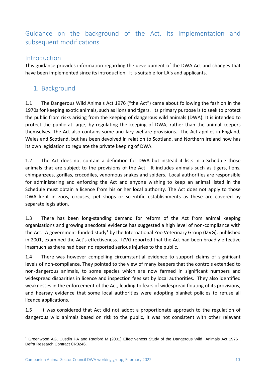# Guidance on the background of the Act, its implementation and subsequent modifications

# Introduction

This guidance provides information regarding the development of the DWA Act and changes that have been implemented since its introduction. It is suitable for LA's and applicants.

# 1. Background

1.1 The Dangerous Wild Animals Act 1976 ("the Act") came about following the fashion in the 1970s for keeping exotic animals, such as lions and tigers. Its primary purpose is to seek to protect the public from risks arising from the keeping of dangerous wild animals (DWA). It is intended to protect the public at large, by regulating the keeping of DWA, rather than the animal keepers themselves. The Act also contains some ancillary welfare provisions. The Act applies in England, Wales and Scotland, but has been devolved in relation to Scotland, and Northern Ireland now has its own legislation to regulate the private keeping of DWA.

1.2 The Act does not contain a definition for DWA but instead it lists in a Schedule those animals that are subject to the provisions of the Act. It includes animals such as tigers, lions, chimpanzees, gorillas, crocodiles, venomous snakes and spiders. Local authorities are responsible for administering and enforcing the Act and anyone wishing to keep an animal listed in the Schedule must obtain a licence from his or her local authority. The Act does not apply to those DWA kept in zoos, circuses, pet shops or scientific establishments as these are covered by separate legislation.

1.3 There has been long-standing demand for reform of the Act from animal keeping organisations and growing anecdotal evidence has suggested a high level of non-compliance with the Act. A government-funded study<sup>1</sup> by the International Zoo Veterinary Group (IZVG), published in 2001, examined the Act's effectiveness. IZVG reported that the Act had been broadly effective inasmuch as there had been no reported serious injuries to the public.

1.4 There was however compelling circumstantial evidence to support claims of significant levels of non-compliance. They pointed to the view of many keepers that the controls extended to non-dangerous animals, to some species which are now farmed in significant numbers and widespread disparities in licence and inspection fees set by local authorities. They also identified weaknesses in the enforcement of the Act, leading to fears of widespread flouting of its provisions, and hearsay evidence that some local authorities were adopting blanket policies to refuse all licence applications.

1.5 It was considered that Act did not adopt a proportionate approach to the regulation of dangerous wild animals based on risk to the public, it was not consistent with other relevant

<sup>1</sup> Greenwood AG, Cusdin PA and Radford M (2001) Effectiveness Study of the Dangerous Wild Animals Act 1976 . Defra Research Contract CR0246.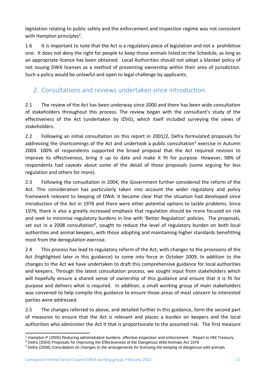legislation relating to public safety and the enforcement and inspection regime was not consistent with Hampton principles<sup>2</sup>.

1.6 It is important to note that the Act is a regulatory piece of legislation and not a prohibitive one. It does not deny the right for people to keep those animals listed on the Schedule, as long as an appropriate licence has been obtained. Local Authorities should not adopt a blanket policy of not issuing DWA licenses as a method of preventing ownership within their area of jurisdiction. Such a policy would be unlawful and open to legal challenge by applicants.

# 2. Consultations and reviews undertaken since introduction

2.1 The review of the Act has been underway since 2000 and there has been wide consultation of stakeholders throughout this process. The review began with the consultant's study of the effectiveness of the Act (undertaken by IZVG), which itself included surveying the views of stakeholders.

2.2 Following an initial consultation on this report in 2001/2, Defra formulated proposals for addressing the shortcomings of the Act and undertook a public consultation<sup>3</sup> exercise in Autumn 2004. 100% of respondents supported the broad proposal that the Act required revision to improve its effectiveness, bring it up to date and make it fit for purpose. However, 98% of respondents had caveats about some of the detail of those proposals (some arguing for less regulation and others for more).

2.3 Following the consultation in 2004, the Government further considered the reform of the Act. This consideration has particularly taken into account the wider regulatory and policy framework relevant to keeping of DWA. It became clear that the situation had developed since introduction of the Act in 1976 and there were other potential options to tackle problems. Since 1976, there is also a greatly increased emphasis that regulation should be more focused on risk and seek to minimise regulatory burdens in line with 'Better Regulation' policies. The proposals, set out in a 2008 consultation<sup>4</sup>, sought to reduce the level of regulatory burden on both local authorities and animal keepers, with those adopting and maintaining higher standards benefitting most from the deregulation exercise.

2.4 This process has lead to regulatory reform of the Act, with changes to the provisions of the Act (highlighted later in this guidance) to come into force in October 2009. In addition to the changes to the Act we have undertaken to draft this comprehensive guidance for local authorities and keepers. Through the latest consultation process, we sought input from stakeholders which will hopefully ensure a shared sense of ownership of this guidance and ensure that it is fit for purpose and delivers what is required. In addition, a small working group of main stakeholders was convened to help compile this guidance to ensure those areas of most concern to interested parties were addressed.

2.5 The changes referred to above, and detailed further in this guidance, form the second part of measures to ensure that the Act is relevant and places a burden on keepers and the local authorities who administer the Act it that is proportionate to the assumed risk. The first measure

<sup>&</sup>lt;sup>2</sup> Hampton P (2005) Reducing administrative burdens: effective inspection and enforcement. Report to HM Treasury.

<sup>3</sup> Defra (2004) Proposals for Improving the Effectiveness of the Dangerous Wild Animals Act 1976

<sup>4</sup> Defra (2008) Consultation on changes to the arrangements for licensing the keeping of dangerous wild animals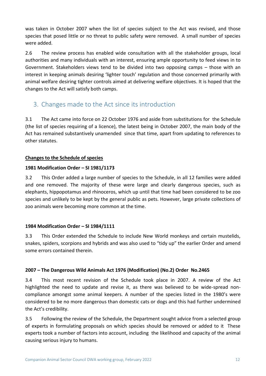was taken in October 2007 when the list of species subject to the Act was revised, and those species that posed little or no threat to public safety were removed. A small number of species were added.

2.6 The review process has enabled wide consultation with all the stakeholder groups, local authorities and many individuals with an interest, ensuring ample opportunity to feed views in to Government. Stakeholders views tend to be divided into two opposing camps – those with an interest in keeping animals desiring 'lighter touch' regulation and those concerned primarily with animal welfare desiring tighter controls aimed at delivering welfare objectives. It is hoped that the changes to the Act will satisfy both camps.

# 3. Changes made to the Act since its introduction

3.1 The Act came into force on 22 October 1976 and aside from substitutions for the Schedule (the list of species requiring of a licence), the latest being in October 2007, the main body of the Act has remained substantively unamended since that time, apart from updating to references to other statutes.

## **Changes to the Schedule of species**

# **1981 Modification Order – SI 1981/1173**

3.2 This Order added a large number of species to the Schedule, in all 12 families were added and one removed. The majority of these were large and clearly dangerous species, such as elephants, hippopotamus and rhinoceros, which up until that time had been considered to be zoo species and unlikely to be kept by the general public as pets. However, large private collections of zoo animals were becoming more common at the time.

## **1984 Modification Order – SI 1984/1111**

3.3 This Order extended the Schedule to include New World monkeys and certain mustelids, snakes, spiders, scorpions and hybrids and was also used to "tidy up" the earlier Order and amend some errors contained therein.

## **2007 – The Dangerous Wild Animals Act 1976 (Modification) (No.2) Order No.2465**

3.4 This most recent revision of the Schedule took place in 2007. A review of the Act highlighted the need to update and revise it, as there was believed to be wide-spread noncompliance amongst some animal keepers. A number of the species listed in the 1980's were considered to be no more dangerous than domestic cats or dogs and this had further undermined the Act's credibility.

3.5 Following the review of the Schedule, the Department sought advice from a selected group of experts in formulating proposals on which species should be removed or added to it These experts took a number of factors into account, including the likelihood and capacity of the animal causing serious injury to humans.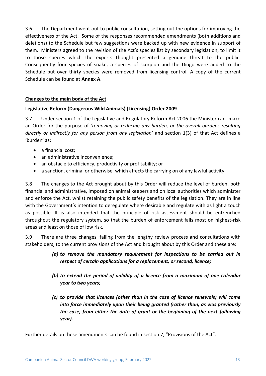3.6 The Department went out to public consultation, setting out the options for improving the effectiveness of the Act. Some of the responses recommended amendments (both additions and deletions) to the Schedule but few suggestions were backed up with new evidence in support of them. Ministers agreed to the revision of the Act's species list by secondary legislation, to limit it to those species which the experts thought presented a genuine threat to the public. Consequently four species of snake, a species of scorpion and the Dingo were added to the Schedule but over thirty species were removed from licensing control. A copy of the current Schedule can be found at **Annex A**.

### **Changes to the main body of the Act**

#### **Legislative Reform (Dangerous Wild Animals) (Licensing) Order 2009**

3.7 Under section 1 of the Legislative and Regulatory Reform Act 2006 the Minister can make an Order for the purpose of *'removing or reducing any burden, or the overall burdens resulting directly or indirectly for any person from any legislation'* and section 1(3) of that Act defines a 'burden' as:

- a financial cost:
- an administrative inconvenience:
- an obstacle to efficiency, productivity or profitability; or
- a sanction, criminal or otherwise, which affects the carrying on of any lawful activity

3.8 The changes to the Act brought about by this Order will reduce the level of burden, both financial and administrative, imposed on animal keepers and on local authorities which administer and enforce the Act, whilst retaining the public safety benefits of the legislation. They are in line with the Government's intention to deregulate where desirable and regulate with as light a touch as possible. It is also intended that the principle of risk assessment should be entrenched throughout the regulatory system, so that the burden of enforcement falls most on highest-risk areas and least on those of low risk.

3.9 There are three changes, falling from the lengthy review process and consultations with stakeholders, to the current provisions of the Act and brought about by this Order and these are:

- *(a) to remove the mandatory requirement for inspections to be carried out in respect of certain applications for a replacement, or second, licence;*
- *(b) to extend the period of validity of a licence from a maximum of one calendar year to two years;*
- *(c) to provide that licences (other than in the case of licence renewals) will come into force immediately upon their being granted (rather than, as was previously the case, from either the date of grant or the beginning of the next following year).*

Further details on these amendments can be found in section 7, "Provisions of the Act".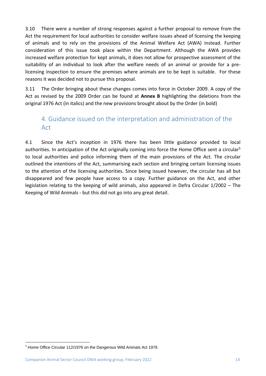3.10 There were a number of strong responses against a further proposal to remove from the Act the requirement for local authorities to consider welfare issues ahead of licensing the keeping of animals and to rely on the provisions of the Animal Welfare Act (AWA) instead. Further consideration of this issue took place within the Department. Although the AWA provides increased welfare protection for kept animals, it does not allow for prospective assessment of the suitability of an individual to look after the welfare needs of an animal or provide for a prelicensing inspection to ensure the premises where animals are to be kept is suitable. For these reasons it was decided not to pursue this proposal.

3.11 The Order bringing about these changes comes into force in October 2009. A copy of the Act as revised by the 2009 Order can be found at **Annex B** highlighting the deletions from the original 1976 Act (in italics) and the new provisions brought about by the Order (in bold)

# 4. Guidance issued on the interpretation and administration of the Act

4.1 Since the Act's inception in 1976 there has been little guidance provided to local authorities. In anticipation of the Act originally coming into force the Home Office sent a circular<sup>5</sup> to local authorities and police informing them of the main provisions of the Act. The circular outlined the intentions of the Act, summarising each section and bringing certain licensing issues to the attention of the licensing authorities. Since being issued however, the circular has all but disappeared and few people have access to a copy. Further guidance on the Act, and other legislation relating to the keeping of wild animals, also appeared in Defra Circular 1/2002 – The Keeping of Wild Animals - but this did not go into any great detail.

<sup>5</sup> Home Office Circular 112/1976 on the Dangerous Wild Animals Act 1976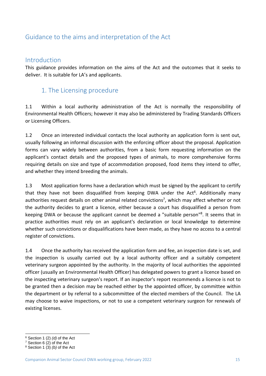# Guidance to the aims and interpretation of the Act

# Introduction

This guidance provides information on the aims of the Act and the outcomes that it seeks to deliver. It is suitable for LA's and applicants.

# 1. The Licensing procedure

1.1 Within a local authority administration of the Act is normally the responsibility of Environmental Health Officers; however it may also be administered by Trading Standards Officers or Licensing Officers.

1.2 Once an interested individual contacts the local authority an application form is sent out, usually following an informal discussion with the enforcing officer about the proposal. Application forms can vary widely between authorities, from a basic form requesting information on the applicant's contact details and the proposed types of animals, to more comprehensive forms requiring details on size and type of accommodation proposed, food items they intend to offer, and whether they intend breeding the animals.

1.3 Most application forms have a declaration which must be signed by the applicant to certify that they have not been disqualified from keeping DWA under the Act<sup>6</sup>. Additionally many authorities request details on other animal related convictions<sup>7</sup>, which may affect whether or not the authority decides to grant a licence, either because a court has disqualified a person from keeping DWA or because the applicant cannot be deemed a "suitable person"<sup>8</sup>. It seems that in practice authorities must rely on an applicant's declaration or local knowledge to determine whether such convictions or disqualifications have been made, as they have no access to a central register of convictions.

1.4 Once the authority has received the application form and fee, an inspection date is set, and the inspection is usually carried out by a local authority officer and a suitably competent veterinary surgeon appointed by the authority. In the majority of local authorities the appointed officer (usually an Environmental Health Officer) has delegated powers to grant a licence based on the inspecting veterinary surgeon's report. If an inspector's report recommends a licence is not to be granted then a decision may be reached either by the appointed officer, by committee within the department or by referral to a subcommittee of the elected members of the Council. The LA may choose to waive inspections, or not to use a competent veterinary surgeon for renewals of existing licenses.

<sup>6</sup> Section 1 (2) *(d)* of the Act

 $7$  Section 6 (2) of the Act

<sup>8</sup> Section 1 (3) *(b)* of the Act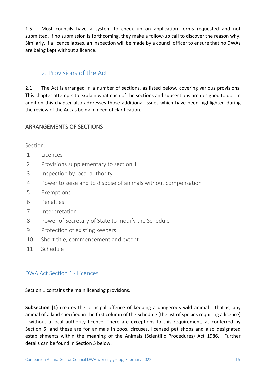1.5 Most councils have a system to check up on application forms requested and not submitted. If no submission is forthcoming, they make a follow-up call to discover the reason why. Similarly, if a licence lapses, an inspection will be made by a council officer to ensure that no DWAs are being kept without a licence.

# 2. Provisions of the Act

2.1 The Act is arranged in a number of sections, as listed below, covering various provisions. This chapter attempts to explain what each of the sections and subsections are designed to do. In addition this chapter also addresses those additional issues which have been highlighted during the review of the Act as being in need of clarification.

# ARRANGEMENTS OF SECTIONS

Section:

- 1 licences
- 2 Provisions supplementary to section 1
- 3 Inspection by local authority
- 4 Power to seize and to dispose of animals without compensation
- 5 Exemptions
- 6 Penalties
- 7 Interpretation
- 8 Power of Secretary of State to modify the Schedule
- 9 Protection of existing keepers
- 10 Short title, commencement and extent
- 11 Schedule

## DWA Act Section 1 - Licences

Section 1 contains the main licensing provisions.

**Subsection (1)** creates the principal offence of keeping a dangerous wild animal - that is, any animal of a kind specified in the first column of the Schedule (the list of species requiring a licence) - without a local authority licence. There are exceptions to this requirement, as conferred by Section 5, and these are for animals in zoos, circuses, licensed pet shops and also designated establishments within the meaning of the Animals (Scientific Procedures) Act 1986. Further details can be found in Section 5 below.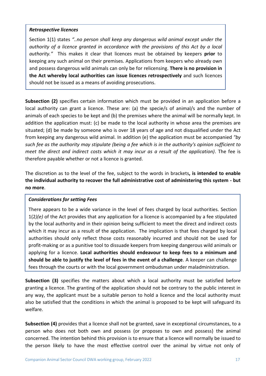#### *Retrospective licences*

Section 1(1) states *"..no person shall keep any dangerous wild animal except under the authority of a licence granted in accordance with the provisions of this Act by a local authority."* This makes it clear that licences must be obtained by keepers **prior** to keeping any such animal on their premises. Applications from keepers who already own and possess dangerous wild animals can only be for relicensing. **There is no provision in the Act whereby local authorities can issue licences retrospectively** and such licences should not be issued as a means of avoiding prosecutions.

**Subsection (2)** specifies certain information which must be provided in an application before a local authority can grant a licence. These are: (a) the specie/s of animal/s and the number of animals of each species to be kept and (b) the premises where the animal will be normally kept. In addition the application must: (c) be made to the local authority in whose area the premises are situated; (d) be made by someone who is over 18 years of age and not disqualified under the Act from keeping any dangerous wild animal. In addition (e) the application must be accompanied *"by such fee as the authority may stipulate (being a fee which is in the authority's opinion sufficient to meet the direct and indirect costs which it may incur as a result of the application)*. The fee is therefore payable whether or not a licence is granted.

The discretion as to the level of the fee, subject to the words in brackets**, is intended to enable the individual authority to recover the full administrative cost of administering this system - but no more**.

#### *Considerations for setting Fees*

There appears to be a wide variance in the level of fees charged by local authorities. Section 1(2*)(e)* of the Act provides that any application for a licence is accompanied by a fee stipulated by the local authority and in their opinion being sufficient to meet the direct and indirect costs which it may incur as a result of the application. The implication is that fees charged by local authorities should only reflect those costs reasonably incurred and should not be used for profit-making or as a punitive tool to dissuade keepers from keeping dangerous wild animals or applying for a licence. **Local authorities should endeavour to keep fees to a minimum and should be able to justify the level of fees in the event of a challenge**. A keeper can challenge fees through the courts or with the local government ombudsman under maladministration.

**Subsection (3)** specifies the matters about which a local authority must be satisfied before granting a licence. The granting of the application should not be contrary to the public interest in any way, the applicant must be a suitable person to hold a licence and the local authority must also be satisfied that the conditions in which the animal is proposed to be kept will safeguard its welfare.

**Subsection (4)** provides that a licence shall not be granted, save in exceptional circumstances, to a person who does not both own and possess (or proposes to own and possess) the animal concerned. The intention behind this provision is to ensure that a licence will normally be issued to the person likely to have the most effective control over the animal by virtue not only of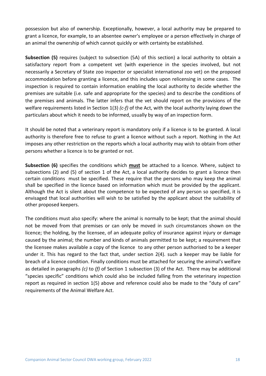possession but also of ownership. Exceptionally, however, a local authority may be prepared to grant a licence, for example, to an absentee owner's employee or a person effectively in charge of an animal the ownership of which cannot quickly or with certainty be established.

**Subsection (5)** requires (subject to subsection (5A) of this section) a local authority to obtain a satisfactory report from a competent vet (with experience in the species involved, but not necessarily a Secretary of State zoo inspector or specialist international zoo vet) on the proposed accommodation before granting a licence, and this includes upon relicensing in some cases. The inspection is required to contain information enabling the local authority to decide whether the premises are suitable (i.e. safe and appropriate for the species) and to describe the conditions of the premises and animals. The latter infers that the vet should report on the provisions of the welfare requirements listed in Section 1(3) *(c-f)* of the Act, with the local authority laying down the particulars about which it needs to be informed, usually by way of an inspection form.

It should be noted that a veterinary report is mandatory only if a licence is to be granted. A local authority is therefore free to refuse to grant a licence without such a report. Nothing in the Act imposes any other restriction on the reports which a local authority may wish to obtain from other persons whether a licence is to be granted or not.

**Subsection (6)** specifies the conditions which **must** be attached to a licence. Where, subject to subsections (2) and (5) of section 1 of the Act, a local authority decides to grant a licence then certain conditions must be specified. These require that the persons who may keep the animal shall be specified in the licence based on information which must be provided by the applicant. Although the Act is silent about the competence to be expected of any person so specified, it is envisaged that local authorities will wish to be satisfied by the applicant about the suitability of other proposed keepers.

The conditions must also specify: where the animal is normally to be kept; that the animal should not be moved from that premises or can only be moved in such circumstances shown on the licence; the holding, by the licensee, of an adequate policy of insurance against injury or damage caused by the animal; the number and kinds of animals permitted to be kept; a requirement that the licensee makes available a copy of the licence to any other person authorised to be a keeper under it. This has regard to the fact that, under section 2(4). such a keeper may be liable for breach of a licence condition. Finally conditions must be attached for securing the animal's welfare as detailed in paragraphs *(c)* to *(f)* of Section 1 subsection (3) of the Act. There may be additional "species specific" conditions which could also be included falling from the veterinary inspection report as required in section 1(5) above and reference could also be made to the "duty of care" requirements of the Animal Welfare Act.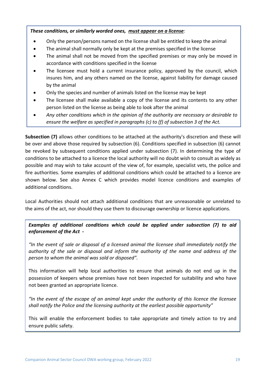### *These conditions, or similarly worded ones, must appear on a license:*

- Only the person/persons named on the license shall be entitled to keep the animal
- The animal shall normally only be kept at the premises specified in the license
- The animal shall not be moved from the specified premises or may only be moved in accordance with conditions specified in the license
- The licensee must hold a current insurance policy, approved by the council, which insures him, and any others named on the license, against liability for damage caused by the animal
- Only the species and number of animals listed on the license may be kept
- The licensee shall make available a copy of the license and its contents to any other person listed on the license as being able to look after the animal
- *Any other conditions which in the opinion of the authority are necessary or desirable to ensure the welfare as specified in paragraphs (c) to (f) of subsection 3 of the Act.*

**Subsection (7)** allows other conditions to be attached at the authority's discretion and these will be over and above those required by subsection (6). Conditions specified in subsection (6) cannot be revoked by subsequent conditions applied under subsection (7). In determining the type of conditions to be attached to a licence the local authority will no doubt wish to consult as widely as possible and may wish to take account of the view of, for example, specialist vets, the police and fire authorities. Some examples of additional conditions which could be attached to a licence are shown below. See also Annex C which provides model licence conditions and examples of additional conditions.

Local Authorities should not attach additional conditions that are unreasonable or unrelated to the aims of the act, nor should they use them to discourage ownership or licence applications.

*Examples of additional conditions which could be applied under subsection (7) to aid enforcement of the Act -* 

*"In the event of sale or disposal of a licensed animal the licensee shall immediately notify the authority of the sale or disposal and inform the authority of the name and address of the person to whom the animal was sold or disposed".* 

This information will help local authorities to ensure that animals do not end up in the possession of keepers whose premises have not been inspected for suitability and who have not been granted an appropriate licence.

*"In the event of the escape of an animal kept under the authority of this licence the licensee shall notify the Police and the licensing authority at the earliest possible opportunity"*

This will enable the enforcement bodies to take appropriate and timely action to try and ensure public safety.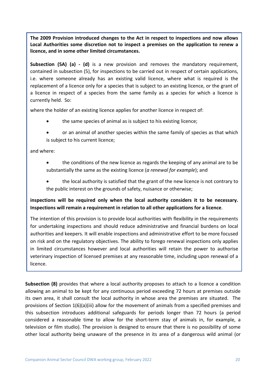**The 2009 Provision introduced changes to the Act in respect to inspections and now allows Local Authorities some discretion not to inspect a premises on the application to renew a licence, and in some other limited circumstances.**

**Subsection (5A) (a) - (d)** is a new provision and removes the mandatory requirement, contained in subsection (5), for inspections to be carried out in respect of certain applications, i.e. where someone already has an existing valid licence, where what is required is the replacement of a licence only for a species that is subject to an existing licence, or the grant of a licence in respect of a species from the same family as a species for which a licence is currently held. So:

where the holder of an existing licence applies for another licence in respect of:

- the same species of animal as is subject to his existing licence;
- or an animal of another species within the same family of species as that which is subject to his current licence;

and where:

- the conditions of the new licence as regards the keeping of any animal are to be substantially the same as the existing licence (*a renewal for example*); and
- the local authority is satisfied that the grant of the new licence is not contrary to the public interest on the grounds of safety, nuisance or otherwise;

**inspections will be required only when the local authority considers it to be necessary. Inspections will remain a requirement in relation to all other applications for a licence**.

The intention of this provision is to provide local authorities with flexibility in the requirements for undertaking inspections and should reduce administrative and financial burdens on local authorities and keepers. It will enable inspections and administrative effort to be more focused on risk and on the regulatory objectives. The ability to forego renewal inspections only applies in limited circumstances however and local authorities will retain the power to authorise veterinary inspection of licensed premises at any reasonable time, including upon renewal of a licence.

**Subsection (8)** provides that where a local authority proposes to attach to a licence a condition allowing an animal to be kept for any continuous period exceeding 72 hours at premises outside its own area, it shall consult the local authority in whose area the premises are situated. The provisions of Section 1(6)(a)(iii) allow for the movement of animals from a specified premises and this subsection introduces additional safeguards for periods longer than 72 hours (a period considered a reasonable time to allow for the short-term stay of animals in, for example, a television or film studio). The provision is designed to ensure that there is no possibility of some other local authority being unaware of the presence in its area of a dangerous wild animal (or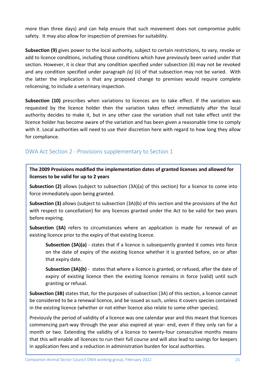more than three days) and can help ensure that such movement does not compromise public safety. It may also allow for inspection of premises for suitability.

**Subsection (9)** gives power to the local authority, subject to certain restrictions, to vary, revoke or add to licence conditions, including those conditions which have previously been varied under that section. However, it is clear that any condition specified under subsection (6) may not be revoked and any condition specified under paragraph *(a)* (ii) of that subsection may not be varied. With the latter the implication is that any proposed change to premises would require complete relicensing, to include a veterinary inspection.

**Subsection (10)** prescribes when variations to licences are to take effect. If the variation was requested by the licence holder then the variation takes effect immediately after the local authority decides to make it, but in any other case the variation shall not take effect until the licence holder has become aware of the variation and has been given a reasonable time to comply with it. Local authorities will need to use their discretion here with regard to how long they allow for compliance.

# DWA Act Section 2 - Provisions supplementary to Section 1

**The 2009 Provisions modified the implementation dates of granted licenses and allowed for licenses to be valid for up to 2 years**

**Subsection (2)** allows (subject to subsection (3A)(a) of this section) for a licence to come into force immediately upon being granted.

**Subsection (3)** allows (subject to subsection (3A)(b) of this section and the provisions of the Act with respect to cancellation) for any licences granted under the Act to be valid for two years before expiring.

**Subsection (3A)** refers to circumstances where an application is made for renewal of an existing licence prior to the expiry of that existing licence.

**Subsection (3A)(a)** - states that if a licence is subsequently granted it comes into force on the date of expiry of the existing licence whether it is granted before, on or after that expiry date.

**Subsection (3A)(b)** - states that where a licence is granted, or refused, after the date of expiry of existing licence then the existing licence remains in force (valid) until such granting or refusal.

**Subsection (3B)** states that, for the purposes of subsection (3A) of this section, a licence cannot be considered to be a renewal licence, and be issued as such, unless it covers species contained in the existing licence (whether or not either licence also relate to some other species).

Previously the period of validity of a licence was one calendar year and this meant that licences commencing part-way through the year also expired at year- end, even if they only ran for a month or two. Extending the validity of a licence to twenty-four consecutive months means that this will enable all licences to run their full course and will also lead to savings for keepers in application fees and a reduction in administration burden for local authorities.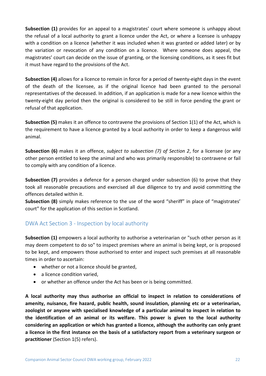**Subsection (1)** provides for an appeal to a magistrates' court where someone is unhappy about the refusal of a local authority to grant a licence under the Act, or where a licensee is unhappy with a condition on a licence (whether it was included when it was granted or added later) or by the variation or revocation of any condition on a licence. Where someone does appeal, the magistrates' court can decide on the issue of granting, or the licensing conditions, as it sees fit but it must have regard to the provisions of the Act.

**Subsection (4)** allows for a licence to remain in force for a period of twenty-eight days in the event of the death of the licensee, as if the original licence had been granted to the personal representatives of the deceased. In addition, if an application is made for a new licence within the twenty-eight day period then the original is considered to be still in force pending the grant or refusal of that application.

**Subsection (5)** makes it an offence to contravene the provisions of Section 1(1) of the Act, which is the requirement to have a licence granted by a local authority in order to keep a dangerous wild animal.

**Subsection (6)** makes it an offence, *subject to subsection (7) of Section 2*, for a licensee (or any other person entitled to keep the animal and who was primarily responsible) to contravene or fail to comply with any condition of a licence.

**Subsection (7)** provides a defence for a person charged under subsection (6) to prove that they took all reasonable precautions and exercised all due diligence to try and avoid committing the offences detailed within it.

**Subsection (8)** simply makes reference to the use of the word "sheriff" in place of "magistrates' court" for the application of this section in Scotland.

# DWA Act Section 3 - Inspection by local authority

**Subsection (1)** empowers a local authority to authorise a veterinarian or "such other person as it may deem competent to do so" to inspect premises where an animal is being kept, or is proposed to be kept, and empowers those authorised to enter and inspect such premises at all reasonable times in order to ascertain:

- whether or not a licence should be granted,
- a licence condition varied,
- or whether an offence under the Act has been or is being committed.

**A local authority may thus authorise an official to inspect in relation to considerations of amenity, nuisance, fire hazard, public health, sound insulation, planning etc or a veterinarian, zoologist or anyone with specialised knowledge of a particular animal to inspect in relation to the identification of an animal or its welfare. This power is given to the local authority considering an application or which has granted a licence, although the authority can only grant a licence in the first instance on the basis of a satisfactory report from a veterinary surgeon or practitioner** (Section 1(5) refers).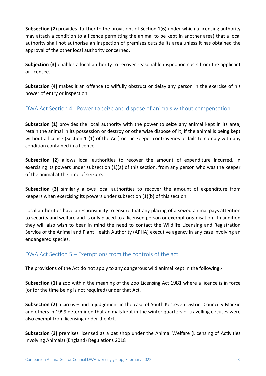**Subsection (2)** provides (further to the provisions of Section 1(6) under which a licensing authority may attach a condition to a licence permitting the animal to be kept in another area) that a local authority shall not authorise an inspection of premises outside its area unless it has obtained the approval of the other local authority concerned.

**Subjection (3)** enables a local authority to recover reasonable inspection costs from the applicant or licensee.

**Subsection (4)** makes it an offence to wilfully obstruct or delay any person in the exercise of his power of entry or inspection.

# DWA Act Section 4 - Power to seize and dispose of animals without compensation

**Subsection (1)** provides the local authority with the power to seize any animal kept in its area, retain the animal in its possession or destroy or otherwise dispose of it, if the animal is being kept without a licence (Section 1 (1) of the Act) or the keeper contravenes or fails to comply with any condition contained in a licence.

**Subsection (2)** allows local authorities to recover the amount of expenditure incurred, in exercising its powers under subsection (1)(a) of this section, from any person who was the keeper of the animal at the time of seizure.

**Subsection (3)** similarly allows local authorities to recover the amount of expenditure from keepers when exercising its powers under subsection (1)(b) of this section.

Local authorities have a responsibility to ensure that any placing of a seized animal pays attention to security and welfare and is only placed to a licensed person or exempt organisation. In addition they will also wish to bear in mind the need to contact the Wildlife Licensing and Registration Service of the Animal and Plant Health Authority (APHA) executive agency in any case involving an endangered species.

# DWA Act Section 5 – Exemptions from the controls of the act

The provisions of the Act do not apply to any dangerous wild animal kept in the following:-

**Subsection (1)** a zoo within the meaning of the Zoo Licensing Act 1981 where a licence is in force (or for the time being is not required) under that Act.

**Subsection (2)** a circus – and a judgement in the case of South Kesteven District Council v Mackie and others in 1999 determined that animals kept in the winter quarters of travelling circuses were also exempt from licensing under the Act.

**Subsection (3)** premises licensed as a pet shop under the Animal Welfare (Licensing of Activities Involving Animals) (England) Regulations 2018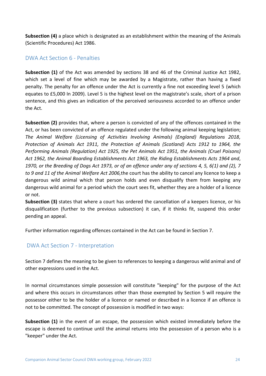**Subsection (4)** a place which is designated as an establishment within the meaning of the Animals (Scientific Procedures) Act 1986.

### DWA Act Section 6 - Penalties

**Subsection (1)** of the Act was amended by sections 38 and 46 of the Criminal Justice Act 1982, which set a level of fine which may be awarded by a Magistrate, rather than having a fixed penalty. The penalty for an offence under the Act is currently a fine not exceeding level 5 (which equates to £5,000 In 2009). Level 5 is the highest level on the magistrate's scale, short of a prison sentence, and this gives an indication of the perceived seriousness accorded to an offence under the Act.

**Subsection (2)** provides that, where a person is convicted of any of the offences contained in the Act, or has been convicted of an offence regulated under the following animal keeping legislation; *The Animal Welfare (Licensing of Activities Involving Animals) (England) Regulations 2018, Protection of Animals Act 1911, the Protection of Animals (Scotland) Acts 1912 to 1964, the Performing Animals (Regulation) Act 1925, the Pet Animals Act 1951, the Animals (Cruel Poisons) Act 1962, the Animal Boarding Establishments Act 1963, the Riding Establishments Acts 1964 and*, *1970, or the Breeding of Dogs Act 1973, or of an offence under any of sections 4, 5, 6(1) and (2), 7 to 9 and 11 of the Animal Welfare Act 2006,*the court has the ability to cancel any licence to keep a dangerous wild animal which that person holds and even disqualify them from keeping any dangerous wild animal for a period which the court sees fit, whether they are a holder of a licence or not.

**Subsection (3)** states that where a court has ordered the cancellation of a keepers licence, or his disqualification (further to the previous subsection) it can, if it thinks fit, suspend this order pending an appeal.

Further information regarding offences contained in the Act can be found in Section 7.

## DWA Act Section 7 - Interpretation

Section 7 defines the meaning to be given to references to keeping a dangerous wild animal and of other expressions used in the Act.

In normal circumstances simple possession will constitute "keeping" for the purpose of the Act and where this occurs in circumstances other than those exempted by Section 5 will require the possessor either to be the holder of a licence or named or described in a licence if an offence is not to be committed. The concept of possession is modified in two ways:

**Subsection (1)** in the event of an escape, the possession which existed immediately before the escape is deemed to continue until the animal returns into the possession of a person who is a "keeper" under the Act.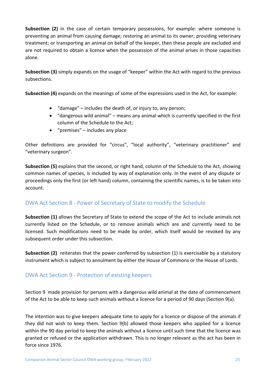**Subsection (2)** in the case of certain temporary possessions, for example: where someone is preventing an animal from causing damage; restoring an animal to its owner; providing veterinary treatment; or transporting an animal on behalf of the keeper, then these people are excluded and are not required to obtain a licence when the possession of the animal arises in those capacities alone.

**Subsection (3)** simply expands on the usage of "keeper" within the Act with regard to the previous subsections.

**Subsection (4)** expands on the meanings of some of the expressions used in the Act, for example:

- "damage" includes the death of, or injury to, any person;
- "dangerous wild animal" means any animal which is currently specified in the first column of the Schedule to the Act;
- "premises" includes any place

Other definitions are provided for "circus", "local authority", "veterinary practitioner" and "veterinary surgeon".

**Subsection (5)** explains that the second, or right hand, column of the Schedule to the Act, showing common names of species, is included by way of explanation only. In the event of any dispute or proceedings only the first (or left hand) column, containing the scientific names, is to be taken into account.

# DWA Act Section 8 - Power of Secretary of State to modify the Schedule

**Subsection (1)** allows the Secretary of State to extend the scope of the Act to include animals not currently listed on the Schedule, or to remove animals which are and currently need to be licensed. Such modifications need to be made by order, which itself would be revoked by any subsequent order under this subsection.

**Subsection (2)** reiterates that the power conferred by subsection (1) is exercisable by a statutory instrument which is subject to annulment by either the House of Commons or the House of Lords.

## DWA Act Section 9 - Protection of existing keepers

Section 9 made provision for persons with a dangerous wild animal at the date of commencement of the Act to be able to keep such animals without a licence for a period of 90 days (Section 9(a).

The intention was to give keepers adequate time to apply for a licence or dispose of the animals if they did not wish to keep them. Section 9(b) allowed those keepers who applied for a licence within the 90 day period to keep the animals without a licence until such time that the licence was granted or refused or the application withdrawn. This is no longer relevant as the act has been in force since 1976.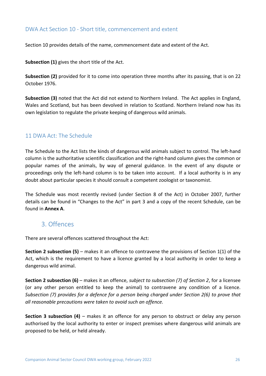# DWA Act Section 10 - Short title, commencement and extent

Section 10 provides details of the name, commencement date and extent of the Act.

**Subsection (1)** gives the short title of the Act.

**Subsection (2)** provided for it to come into operation three months after its passing, that is on 22 October 1976.

**Subsection (3)** noted that the Act did not extend to Northern Ireland. The Act applies in England, Wales and Scotland, but has been devolved in relation to Scotland. Northern Ireland now has its own legislation to regulate the private keeping of dangerous wild animals.

## 11 DWA Act: The Schedule

The Schedule to the Act lists the kinds of dangerous wild animals subject to control. The left-hand column is the authoritative scientific classification and the right-hand column gives the common or popular names of the animals, by way of general guidance. In the event of any dispute or proceedings only the left-hand column is to be taken into account. If a local authority is in any doubt about particular species it should consult a competent zoologist or taxonomist.

The Schedule was most recently revised (under Section 8 of the Act) in October 2007, further details can be found in "Changes to the Act" in part 3 and a copy of the recent Schedule, can be found in **Annex A**.

# 3. Offences

There are several offences scattered throughout the Act:

**Section 2 subsection (5)** – makes it an offence to contravene the provisions of Section 1(1) of the Act, which is the requirement to have a licence granted by a local authority in order to keep a dangerous wild animal.

**Section 2 subsection (6)** – makes it an offence, *subject to subsection (7) of Section 2*, for a licensee (or any other person entitled to keep the animal) to contravene any condition of a licence. *Subsection (7) provides for a defence for a person being charged under Section 2(6) to prove that all reasonable precautions were taken to avoid such an offence.*

**Section 3 subsection (4)** – makes it an offence for any person to obstruct or delay any person authorised by the local authority to enter or inspect premises where dangerous wild animals are proposed to be held, or held already.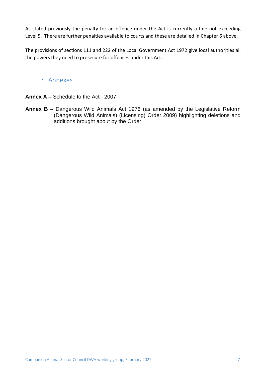As stated previously the penalty for an offence under the Act is currently a fine not exceeding Level 5. There are further penalties available to courts and these are detailed in Chapter 6 above.

The provisions of sections 111 and 222 of the Local Government Act 1972 give local authorities all the powers they need to prosecute for offences under this Act.

# 4. Annexes

- **Annex A –** Schedule to the Act 2007
- **Annex B –** Dangerous Wild Animals Act 1976 (as amended by the Legislative Reform (Dangerous Wild Animals) (Licensing) Order 2009) highlighting deletions and additions brought about by the Order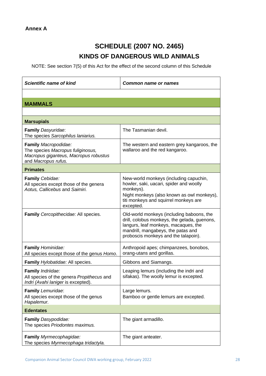# **SCHEDULE (2007 NO. 2465) KINDS OF DANGEROUS WILD ANIMALS**

NOTE: See section 7(5) of this Act for the effect of the second column of this Schedule

| <b>Scientific name of kind</b>                                                                                            | <b>Common name or names</b>                                                                                                                                                                                     |
|---------------------------------------------------------------------------------------------------------------------------|-----------------------------------------------------------------------------------------------------------------------------------------------------------------------------------------------------------------|
|                                                                                                                           |                                                                                                                                                                                                                 |
| <b>MAMMALS</b>                                                                                                            |                                                                                                                                                                                                                 |
|                                                                                                                           |                                                                                                                                                                                                                 |
| <b>Marsupials</b>                                                                                                         |                                                                                                                                                                                                                 |
| Family Dasyuridae:<br>The species Sarcophilus laniarius.                                                                  | The Tasmanian devil.                                                                                                                                                                                            |
| Family Macropodidae:<br>The species Macropus fuliginosus,<br>Macropus giganteus, Macropus robustus<br>and Macropus rufus. | The western and eastern grey kangaroos, the<br>wallaroo and the red kangaroo.                                                                                                                                   |
| <b>Primates</b>                                                                                                           |                                                                                                                                                                                                                 |
| <b>Family Cebidae:</b><br>All species except those of the genera<br>Aotus, Callicebus and Saimiri.                        | New-world monkeys (including capuchin,<br>howler, saki, uacari, spider and woolly<br>monkeys).<br>Night monkeys (also known as owl monkeys),<br>titi monkeys and squirrel monkeys are<br>excepted.              |
| Family Cercopithecidae: All species.                                                                                      | Old-world monkeys (including baboons, the<br>drill, colobus monkeys, the gelada, guenons,<br>langurs, leaf monkeys, macaques, the<br>mandrill, mangabeys, the patas and<br>proboscis monkeys and the talapoin). |
| Family Hominidae:<br>All species except those of the genus Homo.                                                          | Anthropoid apes; chimpanzees, bonobos,<br>orang-utans and gorillas.                                                                                                                                             |
| <b>Family Hylobatidae: All species.</b>                                                                                   | Gibbons and Siamangs.                                                                                                                                                                                           |
| Family Indriidae:<br>All species of the genera Propithecus and<br>Indri (Avahi laniger is excepted).                      | Leaping lemurs (including the indri and<br>sifakas). The woolly lemur is excepted.                                                                                                                              |
| Family Lemuridae:<br>All species except those of the genus<br>Hapalemur.                                                  | Large lemurs.<br>Bamboo or gentle lemurs are excepted.                                                                                                                                                          |
| <b>Edentates</b>                                                                                                          |                                                                                                                                                                                                                 |
| Family Dasypodidae:<br>The species Priodontes maximus.                                                                    | The giant armadillo.                                                                                                                                                                                            |
| Family Myrmecophagidae:<br>The species Myrmecophaga tridactyla.                                                           | The giant anteater.                                                                                                                                                                                             |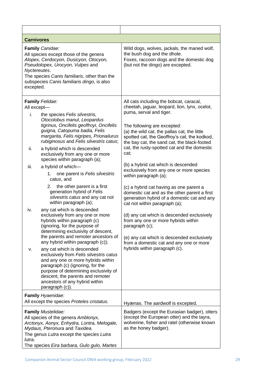| <b>Carnivores</b>                                                                                                                                                                                                                                                                                                                                                                                                                                                                                                                                                                                                                                                                     |                                                                                                                                                                                                                                                                                                                                                                                                                                                                      |  |  |
|---------------------------------------------------------------------------------------------------------------------------------------------------------------------------------------------------------------------------------------------------------------------------------------------------------------------------------------------------------------------------------------------------------------------------------------------------------------------------------------------------------------------------------------------------------------------------------------------------------------------------------------------------------------------------------------|----------------------------------------------------------------------------------------------------------------------------------------------------------------------------------------------------------------------------------------------------------------------------------------------------------------------------------------------------------------------------------------------------------------------------------------------------------------------|--|--|
| Family Canidae:<br>All species except those of the genera<br>Alopex, Cerdocyon, Dusicyon, Otocyon,<br>Pseudolopex, Urocyon, Vulpes and<br>Nyctereutes.<br>The species Canis familiaris, other than the<br>subspecies Canis familiaris dingo, is also<br>excepted.                                                                                                                                                                                                                                                                                                                                                                                                                     | Wild dogs, wolves, jackals, the maned wolf,<br>the bush dog and the dhole.<br>Foxes, raccoon dogs and the domestic dog<br>(but not the dingo) are excepted.                                                                                                                                                                                                                                                                                                          |  |  |
| Family Felidae:<br>All except-<br>i.<br>the species Felis silvestris,<br>Otocolobus manul, Leopardus<br>tigrinus, Oncifelis geoffroyi, Oncifelis<br>guigna, Catopuma badia, Felis<br>margarita, Felis nigripes, Prionailurus<br>rubiginosus and Felis silvestris catus;<br>ii.<br>a hybrid which is descended<br>exclusively from any one or more<br>species within paragraph (a);<br>iii.<br>a hybrid of which-<br>one parent is Felis silvestris<br>1.<br>catus, and                                                                                                                                                                                                                | All cats including the bobcat, caracal,<br>cheetah, jaguar, leopard, lion, lynx, ocelot,<br>puma, serval and tiger.<br>The following are excepted:<br>(a) the wild cat, the pallas cat, the little<br>spotted cat, the Geoffroy's cat, the kodkod,<br>the bay cat, the sand cat, the black-footed<br>cat, the rusty-spotted cat and the domestic<br>cat;<br>(b) a hybrid cat which is descended<br>exclusively from any one or more species<br>within paragraph (a); |  |  |
| 2.<br>the other parent is a first<br>generation hybrid of Felis<br>silvestris catus and any cat not<br>within paragraph (a);<br>iv.<br>any cat which is descended<br>exclusively from any one or more<br>hybrids within paragraph (c)<br>(ignoring, for the purpose of<br>determining exclusivity of descent,<br>the parents and remoter ancestors of<br>any hybrid within paragraph (c));<br>any cat which is descended<br>v.<br>exclusively from Felis silvestris catus<br>and any one or more hybrids within<br>paragraph (c) (ignoring, for the<br>purpose of determining exclusivity of<br>descent, the parents and remoter<br>ancestors of any hybrid within<br>paragraph (c)). | (c) a hybrid cat having as one parent a<br>domestic cat and as the other parent a first<br>generation hybrid of a domestic cat and any<br>cat not within paragraph (a);<br>(d) any cat which is descended exclusively<br>from any one or more hybrids within<br>paragraph (c);<br>(e) any cat which is descended exclusively<br>from a domestic cat and any one or more<br>hybrids within paragraph (c).                                                             |  |  |
| Family Hyaenidae:<br>All except the species Proteles cristatus.<br><b>Family Mustelidae:</b><br>All species of the genera Amblonyx,<br>Arctonyx, Aonyx, Enhydra, Lontra, Melogale,<br>Mydaus, Pteronura and Taxidea.<br>The genus Lutra except the species Lutra<br>lutra.<br>The species Eira barbara, Gulo gulo, Martes                                                                                                                                                                                                                                                                                                                                                             | Hyænas. The aardwolf is excepted.<br>Badgers (except the Eurasian badger), otters<br>(except the European otter) and the tayra,<br>wolverine, fisher and ratel (otherwise known<br>as the honey badger).                                                                                                                                                                                                                                                             |  |  |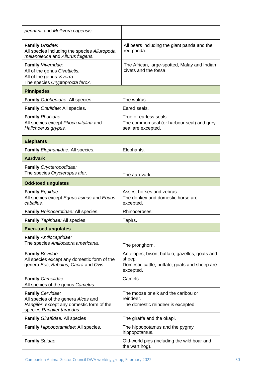| pennanti and Mellivora capensis.                                                                                                   |                                                                                                                        |
|------------------------------------------------------------------------------------------------------------------------------------|------------------------------------------------------------------------------------------------------------------------|
| <b>Family Ursidae:</b><br>All species including the species Ailuropoda<br>melanoleuca and Ailurus fulgens.                         | All bears including the giant panda and the<br>red panda.                                                              |
| Family Viverridae:<br>All of the genus Civettictis.<br>All of the genus Viverra.<br>The species Cryptoprocta ferox.                | The African, large-spotted, Malay and Indian<br>civets and the fossa.                                                  |
| <b>Pinnipedes</b>                                                                                                                  |                                                                                                                        |
| Family Odobenidae: All species.                                                                                                    | The walrus.                                                                                                            |
| <b>Family</b> Otariidae: All species.                                                                                              | Eared seals.                                                                                                           |
| Family Phocidae:<br>All species except Phoca vitulina and<br>Halichoerus grypus.                                                   | True or earless seals.<br>The common seal (or harbour seal) and grey<br>seal are excepted.                             |
| <b>Elephants</b>                                                                                                                   |                                                                                                                        |
| Family Elephantidae: All species.                                                                                                  | Elephants.                                                                                                             |
| <b>Aardvark</b>                                                                                                                    |                                                                                                                        |
| Family Orycteropodidae:<br>The species Orycteropus afer.                                                                           | The aardvark.                                                                                                          |
| <b>Odd-toed ungulates</b>                                                                                                          |                                                                                                                        |
|                                                                                                                                    |                                                                                                                        |
| Family Equidae:<br>All species except Equus asinus and Equus<br>caballus.                                                          | Asses, horses and zebras.<br>The donkey and domestic horse are<br>excepted.                                            |
| Family Rhinocerotidae: All species.                                                                                                | Rhinoceroses.                                                                                                          |
| <b>Family Tapiridae: All species.</b>                                                                                              | Tapirs.                                                                                                                |
| <b>Even-toed ungulates</b>                                                                                                         |                                                                                                                        |
| Family Antilocapridae:<br>The species Antilocapra americana.                                                                       | The pronghorn.                                                                                                         |
| Family Bovidae:<br>All species except any domestic form of the<br>genera Bos, Bubalus, Capra and Ovis.                             | Antelopes, bison, buffalo, gazelles, goats and<br>sheep.<br>Domestic cattle, buffalo, goats and sheep are<br>excepted. |
| <b>Family Camelidae:</b><br>All species of the genus Camelus.                                                                      | Camels.                                                                                                                |
| Family Cervidae:<br>All species of the genera Alces and<br>Rangifer, except any domestic form of the<br>species Rangifer tarandus. | The moose or elk and the caribou or<br>reindeer.<br>The domestic reindeer is excepted.                                 |
| Family Giraffidae: All species                                                                                                     | The giraffe and the okapi.                                                                                             |
| Family Hippopotamidae: All species.                                                                                                | The hippopotamus and the pygmy<br>hippopotamus.                                                                        |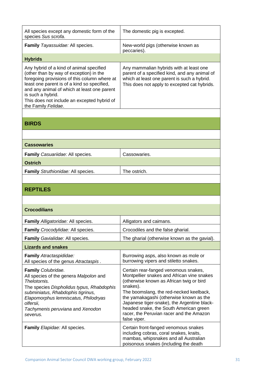| All species except any domestic form of the<br>species Sus scrofa.                                                                                                                                                                                                                                                           | The domestic pig is excepted.                                                                                                                                                                                                                                                                                                                                                         |
|------------------------------------------------------------------------------------------------------------------------------------------------------------------------------------------------------------------------------------------------------------------------------------------------------------------------------|---------------------------------------------------------------------------------------------------------------------------------------------------------------------------------------------------------------------------------------------------------------------------------------------------------------------------------------------------------------------------------------|
| <b>Family</b> Tayassuidae: All species.                                                                                                                                                                                                                                                                                      | New-world pigs (otherwise known as<br>peccaries).                                                                                                                                                                                                                                                                                                                                     |
| <b>Hybrids</b>                                                                                                                                                                                                                                                                                                               |                                                                                                                                                                                                                                                                                                                                                                                       |
| Any hybrid of a kind of animal specified<br>(other than by way of exception) in the<br>foregoing provisions of this column where at<br>least one parent is of a kind so specified,<br>and any animal of which at least one parent<br>is such a hybrid.<br>This does not include an excepted hybrid of<br>the Family Felidae. | Any mammalian hybrids with at least one<br>parent of a specified kind, and any animal of<br>which at least one parent is such a hybrid.<br>This does not apply to excepted cat hybrids.                                                                                                                                                                                               |
|                                                                                                                                                                                                                                                                                                                              |                                                                                                                                                                                                                                                                                                                                                                                       |
| <b>BIRDS</b>                                                                                                                                                                                                                                                                                                                 |                                                                                                                                                                                                                                                                                                                                                                                       |
|                                                                                                                                                                                                                                                                                                                              |                                                                                                                                                                                                                                                                                                                                                                                       |
| <b>Cassowaries</b>                                                                                                                                                                                                                                                                                                           |                                                                                                                                                                                                                                                                                                                                                                                       |
| Family Casuariidae: All species.                                                                                                                                                                                                                                                                                             | Cassowaries.                                                                                                                                                                                                                                                                                                                                                                          |
| <b>Ostrich</b>                                                                                                                                                                                                                                                                                                               |                                                                                                                                                                                                                                                                                                                                                                                       |
| Family Struthionidae: All species.                                                                                                                                                                                                                                                                                           | The ostrich.                                                                                                                                                                                                                                                                                                                                                                          |
|                                                                                                                                                                                                                                                                                                                              |                                                                                                                                                                                                                                                                                                                                                                                       |
| <b>REPTILES</b>                                                                                                                                                                                                                                                                                                              |                                                                                                                                                                                                                                                                                                                                                                                       |
|                                                                                                                                                                                                                                                                                                                              |                                                                                                                                                                                                                                                                                                                                                                                       |
| <b>Crocodilians</b>                                                                                                                                                                                                                                                                                                          |                                                                                                                                                                                                                                                                                                                                                                                       |
| Family Alligatoridae: All species.                                                                                                                                                                                                                                                                                           | Alligators and caimans.                                                                                                                                                                                                                                                                                                                                                               |
| Family Crocodylidae: All species.                                                                                                                                                                                                                                                                                            | Crocodiles and the false gharial.                                                                                                                                                                                                                                                                                                                                                     |
| Family Gavialidae: All species.                                                                                                                                                                                                                                                                                              | The gharial (otherwise known as the gavial).                                                                                                                                                                                                                                                                                                                                          |
| <b>Lizards and snakes</b>                                                                                                                                                                                                                                                                                                    |                                                                                                                                                                                                                                                                                                                                                                                       |
| <b>Family Atractaspididae:</b><br>All species of the genus Atractaspis.                                                                                                                                                                                                                                                      | Burrowing asps, also known as mole or<br>burrowing vipers and stiletto snakes.                                                                                                                                                                                                                                                                                                        |
| Family Colubridae.<br>All species of the genera Malpolon and<br>Thelotornis.<br>The species Dispholidus typus, Rhabdophis<br>subminiatus, Rhabdophis tigrinus,<br>Elapomorphus lemniscatus, Philodryas<br>olfersii,<br>Tachymenis peruviana and Xenodon<br>severus.                                                          | Certain rear-fanged venomous snakes,<br>Montpellier snakes and African vine snakes<br>(otherwise known as African twig or bird<br>snakes).<br>The boomslang, the red-necked keelback,<br>the yamakagashi (otherwise known as the<br>Japanese tiger-snake), the Argentine black-<br>headed snake, the South American green<br>racer, the Peruvian racer and the Amazon<br>false viper. |
| Family Elapidae: All species.                                                                                                                                                                                                                                                                                                | Certain front-fanged venomous snakes<br>including cobras, coral snakes, kraits,<br>mambas, whipsnakes and all Australian<br>poisonous snakes (including the death                                                                                                                                                                                                                     |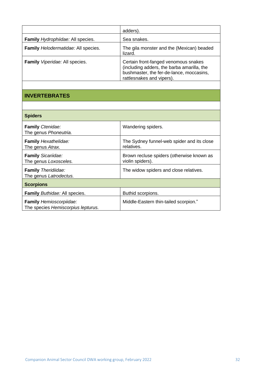|                                              | adders).                                                                                                                                                    |
|----------------------------------------------|-------------------------------------------------------------------------------------------------------------------------------------------------------------|
| Family Hydrophiidae: All species.            | Sea snakes.                                                                                                                                                 |
| <b>Family Helodermatidae: All species.</b>   | The gila monster and the (Mexican) beaded<br>lizard.                                                                                                        |
| <b>Family</b> <i>Viperidae:</i> All species. | Certain front-fanged venomous snakes<br>(including adders, the barba amarilla, the<br>bushmaster, the fer-de-lance, moccasins,<br>rattlesnakes and vipers). |

# **INVERTEBRATES**

| <b>Spiders</b>                                                       |                                                               |  |
|----------------------------------------------------------------------|---------------------------------------------------------------|--|
| Family Ctenidae:<br>The genus Phoneutria.                            | Wandering spiders.                                            |  |
| <b>Family Hexathelidae:</b><br>The genus Atrax.                      | The Sydney funnel-web spider and its close<br>relatives.      |  |
| <b>Family Sicariidae:</b><br>The genus Loxosceles.                   | Brown recluse spiders (otherwise known as<br>violin spiders). |  |
| <b>Family Theridiidae:</b><br>The genus Latrodectus.                 | The widow spiders and close relatives.                        |  |
| <b>Scorpions</b>                                                     |                                                               |  |
| <b>Family Buthidae: All species.</b>                                 | Buthid scorpions.                                             |  |
| <b>Family Hemioscorpiidae:</b><br>The species Hemiscorpius lepturus. | Middle-Eastern thin-tailed scorpion."                         |  |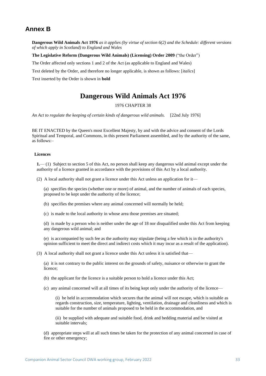# **Annex B**

**Dangerous Wild Animals Act 1976** *as it applies (by virtue of section 6(2) and the Schedule: different versions of which apply in Scotland) to England and Wales*

**The Legislative Reform (Dangerous Wild Animals) (Licensing) Order 2009** ("the Order")

The Order affected only sections 1 and 2 of the Act (as applicable to England and Wales)

Text deleted by the Order, and therefore no longer applicable, is shown as follows: [*italics*]

Text inserted by the Order is shown in **bold**

# **Dangerous Wild Animals Act 1976**

#### 1976 CHAPTER 38

*An Act to regulate the keeping of certain kinds of dangerous wild animals.* [22nd July 1976]

BE IT ENACTED by the Queen's most Excellent Majesty, by and with the advice and consent of the Lords Spiritual and Temporal, and Commons, in this present Parliament assembled, and by the authority of the same, as follows:–

#### **Licences**

**1.**— (1) Subject to section 5 of this Act, no person shall keep any dangerous wild animal except under the authority of a licence granted in accordance with the provisions of this Act by a local authority.

(2) A local authority shall not grant a licence under this Act unless an application for it—

(a) specifies the species (whether one or more) of animal, and the number of animals of each species, proposed to be kept under the authority of the licence;

(b) specifies the premises where any animal concerned will normally be held;

(c) is made to the local authority in whose area those premises are situated;

(d) is made by a person who is neither under the age of 18 nor disqualified under this Act from keeping any dangerous wild animal; and

(e) is accompanied by such fee as the authority may stipulate (being a fee which is in the authority's opinion sufficient to meet the direct and indirect costs which it may incur as a result of the application).

(3) A local authority shall not grant a licence under this Act unless it is satisfied that—

(a) it is not contrary to the public interest on the grounds of safety, nuisance or otherwise to grant the licence;

(b) the applicant for the licence is a suitable person to hold a licence under this Act;

(c) any animal concerned will at all times of its being kept only under the authority of the licence—

(i) be held in accommodation which secures that the animal will not escape, which is suitable as regards construction, size, temperature, lighting, ventilation, drainage and cleanliness and which is suitable for the number of animals proposed to be held in the accommodation, and

(ii) be supplied with adequate and suitable food, drink and bedding material and be visited at suitable intervals;

(d) appropriate steps will at all such times be taken for the protection of any animal concerned in case of fire or other emergency;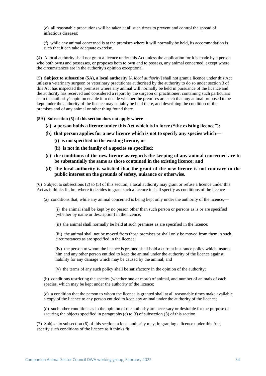(e) all reasonable precautions will be taken at all such times to prevent and control the spread of infectious diseases;

(f) while any animal concerned is at the premises where it will normally be held, its accommodation is such that it can take adequate exercise.

(4) A local authority shall not grant a licence under this Act unless the application for it is made by a person who both owns and possesses, or proposes both to own and to possess, any animal concerned, except where the circumstances are in the authority's opinion exceptional.

(5) **Subject to subsection (5A), a local authority [***A local authority*] shall not grant a licence under this Act unless a veterinary surgeon or veterinary practitioner authorised by the authority to do so under section 3 of this Act has inspected the premises where any animal will normally be held in pursuance of the licence and the authority has received and considered a report by the surgeon or practitioner, containing such particulars as in the authority's opinion enable it to decide whether the premises are such that any animal proposed to be kept under the authority of the licence may suitably be held there, and describing the condition of the premises and of any animal or other thing found there.

**(5A) Subsection (5) of this section does not apply where—**

- **(a) a person holds a licence under this Act which is in force ("the existing licence");**
- **(b) that person applies for a new licence which is not to specify any species which—**
	- **(i) is not specified in the existing licence, or**
	- **(ii) is not in the family of a species so specified;**
- **(c) the conditions of the new licence as regards the keeping of any animal concerned are to be substantially the same as those contained in the existing licence; and**
- **(d) the local authority is satisfied that the grant of the new licence is not contrary to the public interest on the grounds of safety, nuisance or otherwise.**

(6) Subject to subsections (2) to (5) of this section, a local authority may grant or refuse a licence under this Act as it thinks fit, but where it decides to grant such a licence it shall specify as conditions of the licence-

(a) conditions that, while any animal concerned is being kept only under the authority of the licence,—

(i) the animal shall be kept by no person other than such person or persons as is or are specified (whether by name or description) in the licence;

(ii) the animal shall normally be held at such premises as are specified in the licence;

(iii) the animal shall not be moved from those premises or shall only be moved from them in such circumstances as are specified in the licence;

(iv) the person to whom the licence is granted shall hold a current insurance policy which insures him and any other person entitled to keep the animal under the authority of the licence against liability for any damage which may be caused by the animal; and

(v) the terms of any such policy shall be satisfactory in the opinion of the authority;

(b) conditions restricting the species (whether one or more) of animal, and number of animals of each species, which may be kept under the authority of the licence;

(c) a condition that the person to whom the licence is granted shall at all reasonable times make available a copy of the licence to any person entitled to keep any animal under the authority of the licence;

(d) such other conditions as in the opinion of the authority are necessary or desirable for the purpose of securing the objects specified in paragraphs (c) to (f) of subsection (3) of this section.

(7) Subject to subsection (6) of this section, a local authority may, in granting a licence under this Act, specify such conditions of the licence as it thinks fit.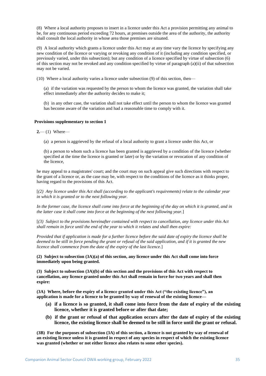(8) Where a local authority proposes to insert in a licence under this Act a provision permitting any animal to be, for any continuous period exceeding 72 hours, at premises outside the area of the authority, the authority shall consult the local authority in whose area those premises are situated.

(9) A local authority which grants a licence under this Act may at any time vary the licence by specifying any new condition of the licence or varying or revoking any condition of it (including any condition specified, or previously varied, under this subsection); but any condition of a licence specified by virtue of subsection (6) of this section may not be revoked and any condition specified by virtue of paragraph (a)(ii) of that subsection may not be varied.

(10) Where a local authority varies a licence under subsection (9) of this section, then—

(a) if the variation was requested by the person to whom the licence was granted, the variation shall take effect immediately after the authority decides to make it;

(b) in any other case, the variation shall not take effect until the person to whom the licence was granted has become aware of the variation and had a reasonable time to comply with it.

#### **Provisions supplementary to section 1**

 $2 - (1)$  Where-

(a) a person is aggrieved by the refusal of a local authority to grant a licence under this Act, or

(b) a person to whom such a licence has been granted is aggrieved by a condition of the licence (whether specified at the time the licence is granted or later) or by the variation or revocation of any condition of the licence,

he may appeal to a magistrates' court; and the court may on such appeal give such directions with respect to the grant of a licence or, as the case may be, with respect to the conditions of the licence as it thinks proper, having regard to the provisions of this Act.

[*(2) Any licence under this Act shall (according to the applicant's requirements) relate to the calendar year in which it is granted or to the next following year.*

*In the former case, the licence shall come into force at the beginning of the day on which it is granted, and in the latter case it shall come into force at the beginning of the next following year.*]

[*(3) Subject to the provisions hereinafter contained with respect to cancellation, any licence under this Act shall remain in force until the end of the year to which it relates and shall then expire:*

*Provided that if application is made for a further licence before the said date of expiry the licence shall be deemed to be still in force pending the grant or refusal of the said application, and if it is granted the new licence shall commence from the date of the expiry of the last licence.*]

**(2) Subject to subsection (3A)(a) of this section, any licence under this Act shall come into force immediately upon being granted.**

**(3) Subject to subsection (3A)(b) of this section and the provisions of this Act with respect to cancellation, any licence granted under this Act shall remain in force for two years and shall then expire:**

**(3A) Where, before the expiry of a licence granted under this Act ("the existing licence"), an application is made for a licence to be granted by way of renewal of the existing licence—**

- **(a) if a licence is so granted, it shall come into force from the date of expiry of the existing licence, whether it is granted before or after that date;**
- **(b) if the grant or refusal of that application occurs after the date of expiry of the existing licence, the existing licence shall be deemed to be still in force until the grant or refusal.**

**(3B) For the purposes of subsection (3A) of this section, a licence is not granted by way of renewal of an existing licence unless it is granted in respect of any species in respect of which the existing licence was granted (whether or not either licence also relates to some other species).**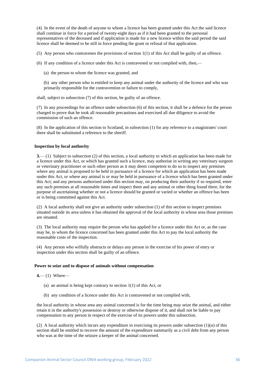(4) In the event of the death of anyone to whom a licence has been granted under this Act the said licence shall continue in force for a period of twenty-eight days as if it had been granted to the personal representatives of the deceased and if application is made for a new licence within the said period the said licence shall be deemed to be still in force pending the grant or refusal of that application.

(5) Any person who contravenes the provisions of section 1(1) of this Act shall be guilty of an offence.

(6) If any condition of a licence under this Act is contravened or not complied with, then,—

(a) the person to whom the licence was granted, and

(b) any other person who is entitled to keep any animal under the authority of the licence and who was primarily responsible for the contravention or failure to comply,

shall, subject to subsection (7) of this section, be guilty of an offence.

(7) In any proceedings for an offence under subsection (6) of this section, it shall be a defence for the person charged to prove that he took all reasonable precautions and exercised all due diligence to avoid the commission of such an offence.

(8) In the application of this section to Scotland, in subsection (1) for any reference to a magistrates' court there shall be substituted a reference to the sheriff.

#### **Inspection by local authority**

**3.**— (1) Subject to subsection (2) of this section, a local authority to which an application has been made for a licence under this Act, or which has granted such a licence, may authorise in writing any veterinary surgeon or veterinary practitioner or such other person as it may deem competent to do so to inspect any premises where any animal is proposed to be held in pursuance of a licence for which an application has been made under this Act, or where any animal is or may be held in pursuance of a licence which has been granted under this Act; and any persons authorised under this section may, on producing their authority if so required, enter any such premises at all reasonable times and inspect them and any animal or other thing found there, for the purpose of ascertaining whether or not a licence should be granted or varied or whether an offence has been or is being committed against this Act.

(2) A local authority shall not give an authority under subsection (1) of this section to inspect premises situated outside its area unless it has obtained the approval of the local authority in whose area those premises are situated.

(3) The local authority may require the person who has applied for a licence under this Act or, as the case may be, to whom the licence concerned has been granted under this Act to pay the local authority the reasonable costs of the inspection.

(4) Any person who wilfully obstructs or delays any person in the exercise of his power of entry or inspection under this section shall be guilty of an offence.

#### **Power to seize and to dispose of animals without compensation**

**4.**— (1) Where—

- (a) an animal is being kept contrary to section 1(1) of this Act, or
- (b) any condition of a licence under this Act is contravened or not complied with,

the local authority in whose area any animal concerned is for the time being may seize the animal, and either retain it in the authority's possession or destroy or otherwise dispose of it, and shall not be liable to pay compensation to any person in respect of the exercise of its powers under this subsection.

(2) A local authority which incurs any expenditure in exercising its powers under subsection  $(1)(a)$  of this section shall be entitled to recover the amount of the expenditure summarily as a civil debt from any person who was at the time of the seizure a keeper of the animal concerned.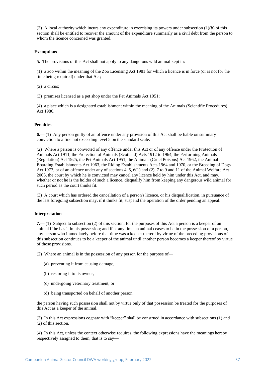(3) A local authority which incurs any expenditure in exercising its powers under subsection  $(1)(b)$  of this section shall be entitled to recover the amount of the expenditure summarily as a civil debt from the person to whom the licence concerned was granted.

#### **Exemptions**

**5.** The provisions of this Act shall not apply to any dangerous wild animal kept in:

(1) a zoo within the meaning of the Zoo Licensing Act 1981 for which a licence is in force (or is not for the time being required) under that Act;

- (2) a circus;
- (3) premises licensed as a pet shop under the Pet Animals Act 1951;

(4) a place which is a designated establishment within the meaning of the Animals (Scientific Procedures) Act 1986.

#### **Penalties**

**6.**— (1) Any person guilty of an offence under any provision of this Act shall be liable on summary conviction to a fine not exceeding level 5 on the standard scale.

(2) Where a person is convicted of any offence under this Act or of any offence under the Protection of Animals Act 1911, the Protection of Animals (Scotland) Acts 1912 to 1964, the Performing Animals (Regulation) Act 1925, the Pet Animals Act 1951, the Animals (Cruel Poisons) Act 1962, the Animal Boarding Establishments Act 1963, the Riding Establishments Acts 1964 and 1970, or the Breeding of Dogs Act 1973, or of an offence under any of sections 4, 5, 6(1) and (2), 7 to 9 and 11 of the Animal Welfare Act 2006, the court by which he is convicted may cancel any licence held by him under this Act, and may, whether or not he is the holder of such a licence, disqualify him from keeping any dangerous wild animal for such period as the court thinks fit.

(3) A court which has ordered the cancellation of a person's licence, or his disqualification, in pursuance of the last foregoing subsection may, if it thinks fit, suspend the operation of the order pending an appeal.

#### **Interpretation**

**7.**—(1) Subject to subsection (2) of this section, for the purposes of this Act a person is a keeper of an animal if he has it in his possession; and if at any time an animal ceases to be in the possession of a person, any person who immediately before that time was a keeper thereof by virtue of the preceding provisions of this subsection continues to be a keeper of the animal until another person becomes a keeper thereof by virtue of those provisions.

(2) Where an animal is in the possession of any person for the purpose of—

- (a) preventing it from causing damage,
- (b) restoring it to its owner,
- (c) undergoing veterinary treatment, or
- (d) being transported on behalf of another person,

the person having such possession shall not by virtue only of that possession be treated for the purposes of this Act as a keeper of the animal.

(3) In this Act expressions cognate with "keeper" shall be construed in accordance with subsections (1) and (2) of this section.

(4) In this Act, unless the context otherwise requires, the following expressions have the meanings hereby respectively assigned to them, that is to say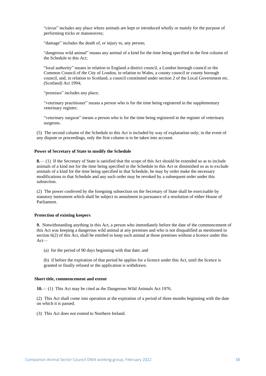"circus" includes any place where animals are kept or introduced wholly or mainly for the purpose of performing tricks or manoeuvres;

"damage" includes the death of, or injury to, any person;

"dangerous wild animal" means any animal of a kind for the time being specified in the first column of the Schedule to this Act;

"local authority" means in relation to England a district council, a London borough council or the Common Council of the City of London, in relation to Wales, a county council or county borough council, and, in relation to Scotland, a council constituted under section 2 of the Local Government etc. (Scotland) Act 1994;

"premises" includes any place;

"veterinary practitioner" means a person who is for the time being registered in the supplementary veterinary register;

"veterinary surgeon" means a person who is for the time being registered in the register of veterinary surgeons.

(5) The second column of the Schedule to this Act is included by way of explanation only; in the event of any dispute or proceedings, only the first column is to be taken into account.

#### **Power of Secretary of State to modify the Schedule**

**8.**— (1) If the Secretary of State is satisfied that the scope of this Act should be extended so as to include animals of a kind not for the time being specified in the Schedule to this Act or diminished so as to exclude animals of a kind for the time being specified in that Schedule, he may by order make the necessary modifications to that Schedule and any such order may be revoked by a subsequent order under this subsection.

(2) The power conferred by the foregoing subsection on the Secretary of State shall be exercisable by statutory instrument which shall be subject to annulment in pursuance of a resolution of either House of Parliament.

#### **Protection of existing keepers**

**9.** Notwithstanding anything in this Act, a person who immediately before the date of the commencement of this Act was keeping a dangerous wild animal at any premises and who is not disqualified as mentioned in section 6(2) of this Act, shall be entitled to keep such animal at those premises without a licence under this Act—

(a) for the period of 90 days beginning with that date; and

(b) if before the expiration of that period he applies for a licence under this Act, until the licence is granted or finally refused or the application is withdrawn.

#### **Short title, commencement and extent**

**10.**— (1) This Act may be cited as the Dangerous Wild Animals Act 1976.

(2) This Act shall come into operation at the expiration of a period of three months beginning with the date on which it is passed.

<span id="page-37-0"></span>(3) This Act does not extend to Northern Ireland.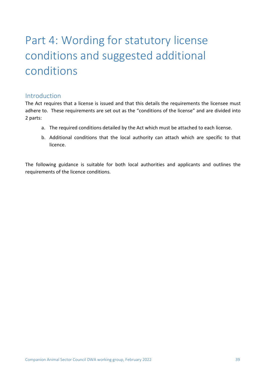# Part 4: Wording for statutory license conditions and suggested additional conditions

# Introduction

The Act requires that a license is issued and that this details the requirements the licensee must adhere to. These requirements are set out as the "conditions of the license" and are divided into 2 parts:

- a. The required conditions detailed by the Act which must be attached to each license.
- b. Additional conditions that the local authority can attach which are specific to that licence.

The following guidance is suitable for both local authorities and applicants and outlines the requirements of the licence conditions.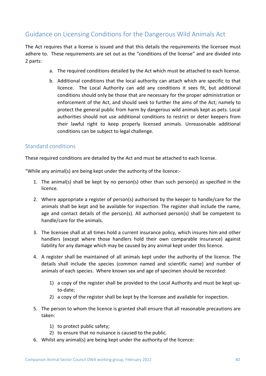# Guidance on Licensing Conditions for the Dangerous Wild Animals Act

The Act requires that a license is issued and that this details the requirements the licensee must adhere to. These requirements are set out as the "conditions of the license" and are divided into 2 parts:

- a. The required conditions detailed by the Act which must be attached to each license.
- b. Additional conditions that the local authority can attach which are specific to that licence. The Local Authority can add any conditions it sees fit, but additional conditions should only be those that are necessary for the proper administration or enforcement of the Act, and should seek to further the aims of the Act; namely to protect the general public from harm by dangerous wild animals kept as pets. Local authorities should not use additional conditions to restrict or deter keepers from their lawful right to keep properly licensed animals. Unreasonable additional conditions can be subject to legal challenge.

## Standard conditions

These required conditions are detailed by the Act and must be attached to each license.

"While any animal(s) are being kept under the authority of the licence:-

- 1. The animal(s) shall be kept by no person(s) other than such person(s) as specified in the licence.
- 2. Where appropriate a register of person(s) authorised by the keeper to handle/care for the animals shall be kept and be available for inspection. The register shall include the name, age and contact details of the person(s). All authorised person(s) shall be competent to handle/care for the animals.
- 3. The licensee shall at all times hold a current insurance policy, which insures him and other handlers (except where those handlers hold their own comparable insurance) against liability for any damage which may be caused by any animal kept under this licence.
- 4. A register shall be maintained of all animals kept under the authority of the licence. The details shall include the species (common named and scientific name) and number of animals of each species. Where known sex and age of specimen should be recorded:
	- 1) a copy of the register shall be provided to the Local Authority and must be kept upto-date;
	- 2) a copy of the register shall be kept by the licensee and available for inspection.
- 5. The person to whom the licence is granted shall ensure that all reasonable precautions are taken:
	- 1) to protect public safety;
	- 2) to ensure that no nuisance is caused to the public.
- 6. Whilst any animal(s) are being kept under the authority of the licence: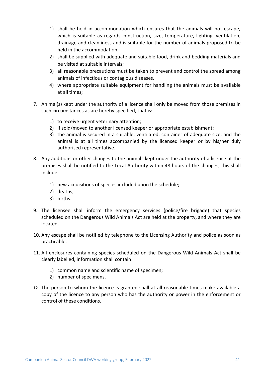- 1) shall be held in accommodation which ensures that the animals will not escape, which is suitable as regards construction, size, temperature, lighting, ventilation, drainage and cleanliness and is suitable for the number of animals proposed to be held in the accommodation;
- 2) shall be supplied with adequate and suitable food, drink and bedding materials and be visited at suitable intervals;
- 3) all reasonable precautions must be taken to prevent and control the spread among animals of infectious or contagious diseases.
- 4) where appropriate suitable equipment for handling the animals must be available at all times;
- 7. Animal(s) kept under the authority of a licence shall only be moved from those premises in such circumstances as are hereby specified, that is:
	- 1) to receive urgent veterinary attention;
	- 2) if sold/moved to another licensed keeper or appropriate establishment;
	- 3) the animal is secured in a suitable, ventilated, container of adequate size; and the animal is at all times accompanied by the licensed keeper or by his/her duly authorised representative.
- 8. Any additions or other changes to the animals kept under the authority of a licence at the premises shall be notified to the Local Authority within 48 hours of the changes, this shall include:
	- 1) new acquisitions of species included upon the schedule;
	- 2) deaths;
	- 3) births.
- 9. The licensee shall inform the emergency services (police/fire brigade) that species scheduled on the Dangerous Wild Animals Act are held at the property, and where they are located.
- 10. Any escape shall be notified by telephone to the Licensing Authority and police as soon as practicable.
- 11. All enclosures containing species scheduled on the Dangerous Wild Animals Act shall be clearly labelled, information shall contain:
	- 1) common name and scientific name of specimen;
	- 2) number of specimens.
- 12. The person to whom the licence is granted shall at all reasonable times make available a copy of the licence to any person who has the authority or power in the enforcement or control of these conditions.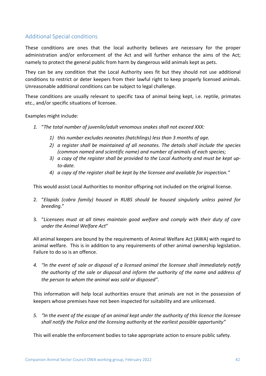# Additional Special conditions

These conditions are ones that the local authority believes are necessary for the proper administration and/or enforcement of the Act and will further enhance the aims of the Act; namely to protect the general public from harm by dangerous wild animals kept as pets.

They can be any condition that the Local Authority sees fit but they should not use additional conditions to restrict or deter keepers from their lawful right to keep properly licensed animals. Unreasonable additional conditions can be subject to legal challenge.

These conditions are usually relevant to specific taxa of animal being kept, i.e. reptile, primates etc., and/or specific situations of licensee.

Examples might include:

- *1.* "*The total number of juvenile/adult venomous snakes shall not exceed XXX:*
	- *1) this number excludes neonates (hatchlings) less than 3 months of age.*
	- *2) a register shall be maintained of all neonates. The details shall include the species (common named and scientific name) and number of animals of each species;*
	- *3) a copy of the register shall be provided to the Local Authority and must be kept upto-date.*
	- *4) a copy of the register shall be kept by the licensee and available for inspection."*

This would assist Local Authorities to monitor offspring not included on the original license.

- 2. "*Elapids (cobra family) housed in RUBS should be housed singularly unless paired for breeding*."
- 3. "*Licensees must at all times maintain good welfare and comply with their duty of care under the Animal Welfare Act*"

All animal keepers are bound by the requirements of Animal Welfare Act (AWA) with regard to animal welfare. This is in addition to any requirements of other animal ownership legislation. Failure to do so is an offence.

*4. "In the event of sale or disposal of a licensed animal the licensee shall immediately notify the authority of the sale or disposal and inform the authority of the name and address of the person to whom the animal was sold or disposed".* 

This information will help local authorities ensure that animals are not in the possession of keepers whose premises have not been inspected for suitability and are unlicensed.

*5. "In the event of the escape of an animal kept under the authority of this licence the licensee shall notify the Police and the licensing authority at the earliest possible opportunity"*

This will enable the enforcement bodies to take appropriate action to ensure public safety.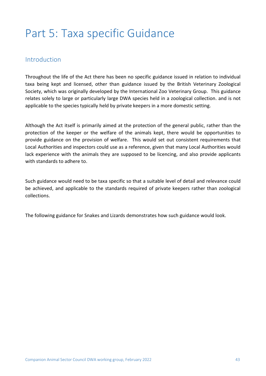# <span id="page-42-0"></span>Part 5: Taxa specific Guidance

# Introduction

Throughout the life of the Act there has been no specific guidance issued in relation to individual taxa being kept and licensed, other than guidance issued by the British Veterinary Zoological Society, which was originally developed by the International Zoo Veterinary Group. This guidance relates solely to large or particularly large DWA species held in a zoological collection. and is not applicable to the species typically held by private keepers in a more domestic setting.

Although the Act itself is primarily aimed at the protection of the general public, rather than the protection of the keeper or the welfare of the animals kept, there would be opportunities to provide guidance on the provision of welfare. This would set out consistent requirements that Local Authorities and inspectors could use as a reference, given that many Local Authorities would lack experience with the animals they are supposed to be licencing, and also provide applicants with standards to adhere to.

Such guidance would need to be taxa specific so that a suitable level of detail and relevance could be achieved, and applicable to the standards required of private keepers rather than zoological collections.

The following guidance for Snakes and Lizards demonstrates how such guidance would look.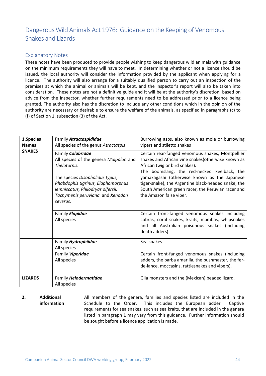# Dangerous Wild Animals Act 1976: Guidance on the Keeping of Venomous Snakes and Lizards

#### Explanatory Notes

These notes have been produced to provide people wishing to keep dangerous wild animals with guidance on the minimum requirements they will have to meet. In determining whether or not a licence should be issued, the local authority will consider the information provided by the applicant when applying for a licence. The authority will also arrange for a suitably qualified person to carry out an inspection of the premises at which the animal or animals will be kept, and the inspector's report will also be taken into consideration. These notes are not a definitive guide and it will be at the authority's discretion, based on advice from the inspector, whether further requirements need to be addressed prior to a licence being granted. The authority also has the discretion to include any other conditions which in the opinion of the authority are necessary or desirable to ensure the welfare of the animals, as specified in paragraphs (c) to (f) of Section 1, subsection (3) of the Act.

| 1.Species<br><b>Names</b> | Family Atractaspididae<br>All species of the genus Atractaspis                                                                                                                                                                            | Burrowing asps, also known as mole or burrowing<br>vipers and stiletto snakes                                                                                                                                                                                                                                                                                                 |
|---------------------------|-------------------------------------------------------------------------------------------------------------------------------------------------------------------------------------------------------------------------------------------|-------------------------------------------------------------------------------------------------------------------------------------------------------------------------------------------------------------------------------------------------------------------------------------------------------------------------------------------------------------------------------|
| <b>SNAKES</b>             | Family Colubridae<br>All species of the genera Malpolon and<br>Thelotornis.<br>The species Disopholidus typus,<br>Rhabdophis tigrinus, Elaphomorphus<br>lemniscatus, Philodryas olfersii,<br>Tachymenis peruviana and Xenodon<br>severus. | Certain rear-fanged venomous snakes, Montpellier<br>snakes and African vine snakes(otherwise known as<br>African twig or bird snakes).<br>The boomslang, the red-necked keelback, the<br>yamakagashi (otherwise known as the Japanese<br>tiger-snake), the Argentine black-headed snake, the<br>South American green racer, the Peruvian racer and<br>the Amazon false viper. |
|                           | Family Elapidae<br>All species                                                                                                                                                                                                            | Certain front-fanged venomous snakes including<br>cobras, coral snakes, kraits, mambas, whipsnakes<br>and all Australian poisonous snakes (including<br>death adders).                                                                                                                                                                                                        |
|                           | Family Hydrophiidae<br>All species                                                                                                                                                                                                        | Sea snakes                                                                                                                                                                                                                                                                                                                                                                    |
|                           | Family Viperidae<br>All species                                                                                                                                                                                                           | Certain front-fanged venomous snakes (including<br>adders, the barba amarilla, the bushmaster, the fer-<br>de-lance, moccasins, rattlesnakes and vipers).                                                                                                                                                                                                                     |
| <b>LIZARDS</b>            | Family Helodermatidae<br>All species                                                                                                                                                                                                      | Gila monsters and the (Mexican) beaded lizard.                                                                                                                                                                                                                                                                                                                                |

**2. Additional information** All members of the genera, families and species listed are included in the Schedule to the Order. This includes the European adder. Captive requirements for sea snakes, such as sea kraits, that are included in the genera listed in paragraph 1 may vary from this guidance. Further information should be sought before a licence application is made.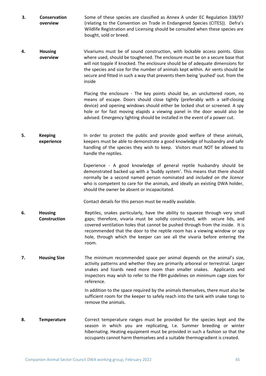- **3. Conservation overview** Some of these species are classified as Annex A under EC Regulation 338/97 (relating to the Convention on Trade in Endangered Species (CITES)). Defra's Wildlife Registration and Licensing should be consulted when these species are bought, sold or breed.
- **4. Housing overview** Vivariums must be of sound construction, with lockable access points. Glass where used, should be toughened. The enclosure must be on a secure base that will not topple if knocked. The enclosure should be of adequate dimensions for the species and size for the number of animals kept within. Air vents should be secure and fitted in such a way that prevents them being 'pushed' out. from the inside

Placing the enclosure - The key points should be, an uncluttered room, no means of escape. Doors should close tightly (preferably with a self-closing device) and opening windows should either be locked shut or screened. A spy hole or for fast moving elapids a viewing panel in the door would also be advised. Emergency lighting should be installed in the event of a power cut.

**5. Keeping experience** In order to protect the public and provide good welfare of these animals, keepers must be able to demonstrate a good knowledge of husbandry and safe handling of the species they wish to keep. Visitors must NOT be allowed to handle the reptiles.

> Experience - A good knowledge of general reptile husbandry should be demonstrated backed up with a 'buddy system'. This means that there should normally be a second named person nominated and *included on the licence* who is competent to care for the animals, and ideally an existing DWA holder, should the owner be absent or incapacitated.

Contact details for this person must be readily available.

- **6. Housing Construction** Reptiles, snakes particularly, have the ability to squeeze through very small gaps; therefore, vivaria must be solidly constructed, with secure lids, and covered ventilation holes that cannot be pushed through from the inside. It is recommended that the door to the reptile room has a viewing window or spy hole, through which the keeper can see all the vivaria before entering the room.
- **7. Housing Size** The minimum recommended space per animal depends on the animal's size, activity patterns and whether they are primarily arboreal or terrestrial. Larger snakes and lizards need more room than smaller snakes. Applicants and inspectors may wish to refer to the FBH guidelines on minimum cage sizes for reference.

In addition to the space required by the animals themselves, there must also be sufficient room for the keeper to safely reach into the tank with snake tongs to remove the animals.

**8. Temperature** Correct temperature ranges must be provided for the species kept and the season in which you are replicating, I.e. Summer breeding or winter hibernating. Heating equipment must be provided in such a fashion so that the occupants cannot harm themselves and a suitable thermogradient is created.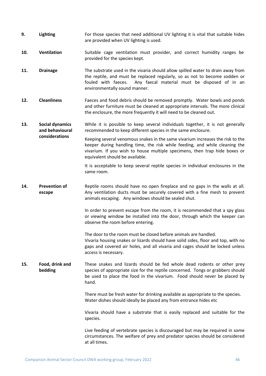- **9. Lighting** For those species that need additional UV lighting it is vital that suitable hides are provided when UV lighting is used.
- **10. Ventilation** Suitable cage ventilation must provider, and correct humidity ranges be provided for the species kept.
- **11. Drainage** The substrate used in the vivaria should allow spilled water to drain away from the reptile, and must be replaced regularly, so as not to become sodden or fouled with faeces. Any faecal material must be disposed of in an environmentally sound manner.
- **12. Cleanliness** Faeces and food debris should be removed promptly. Water bowls and ponds and other furniture must be cleaned at appropriate intervals. The more clinical the enclosure, the more frequently it will need to be cleaned out.
- **13. Social dynamics and behavioural**  While it is possible to keep several individuals together, it is not generally recommended to keep different species in the same enclosure.

**considerations** Keeping several venomous snakes in the same vivarium increases the risk to the keeper during handling time, the risk while feeding, and while cleaning the vivarium. If you wish to house multiple specimens, then trap hide boxes or equivalent should be available.

> It is acceptable to keep several reptile species in individual enclosures in the same room.

**14. Prevention of escape** Reptile rooms should have no open fireplace and no gaps in the walls at all. Any ventilation ducts must be securely covered with a fine mesh to prevent animals escaping. Any windows should be sealed shut.

> In order to prevent escape from the room, it is recommended that a spy glass or viewing window be installed into the door, through which the keeper can observe the room before entering.

> The door to the room must be closed before animals are handled. Vivaria housing snakes or lizards should have solid sides, floor and top, with no gaps and covered air holes, and all vivaria and cages should be locked unless access is necessary.

**15. Food, drink and bedding** These snakes and lizards should be fed whole dead rodents or other prey species of appropriate size for the reptile concerned. Tongs or grabbers should be used to place the food in the vivarium. Food should never be placed by hand.

> There must be fresh water for drinking available as appropriate to the species. Water dishes should ideally be placed any from entrance hides etc

Vivaria should have a substrate that is easily replaced and suitable for the species.

Live feeding of vertebrate species is discouraged but may be required in some circumstances. The welfare of prey and predator species should be considered at all times.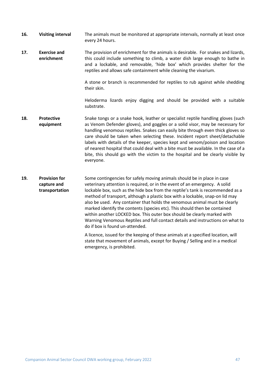- **16. Visiting interval** The animals must be monitored at appropriate intervals, normally at least once every 24 hours.
- **17. Exercise and enrichment** The provision of enrichment for the animals is desirable. For snakes and lizards, this could include something to climb, a water dish large enough to bathe in and a lockable, and removable, 'hide box' which provides shelter for the reptiles and allows safe containment while cleaning the vivarium.

A stone or branch is recommended for reptiles to rub against while shedding their skin.

Heloderma lizards enjoy digging and should be provided with a suitable substrate.

- **18. Protective equipment** Snake tongs or a snake hook, leather or specialist reptile handling gloves (such as Venom Defender gloves), and goggles or a solid visor, may be necessary for handling venomous reptiles. Snakes can easily bite through even thick gloves so care should be taken when selecting these. Incident report sheet/detachable labels with details of the keeper, species kept and venom/poison and location of nearest hospital that could deal with a bite must be available. In the case of a bite, this should go with the victim to the hospital and be clearly visible by everyone.
- **19. Provision for capture and transportation** Some contingencies for safely moving animals should be in place in case veterinary attention is required, or in the event of an emergency. A solid lockable box, such as the hide box from the reptile's tank is recommended as a method of transport, although a plastic box with a lockable, snap-on lid may also be used. Any container that holds the venomous animal must be clearly marked identify the contents (species etc). This should then be contained within another LOCKED box. This outer box should be clearly marked with Warning Venomous Reptiles and full contact details and instructions on what to do if box is found un-attended.

A licence, issued for the keeping of these animals at a specified location, will state that movement of animals, except for Buying / Selling and in a medical emergency, is prohibited.